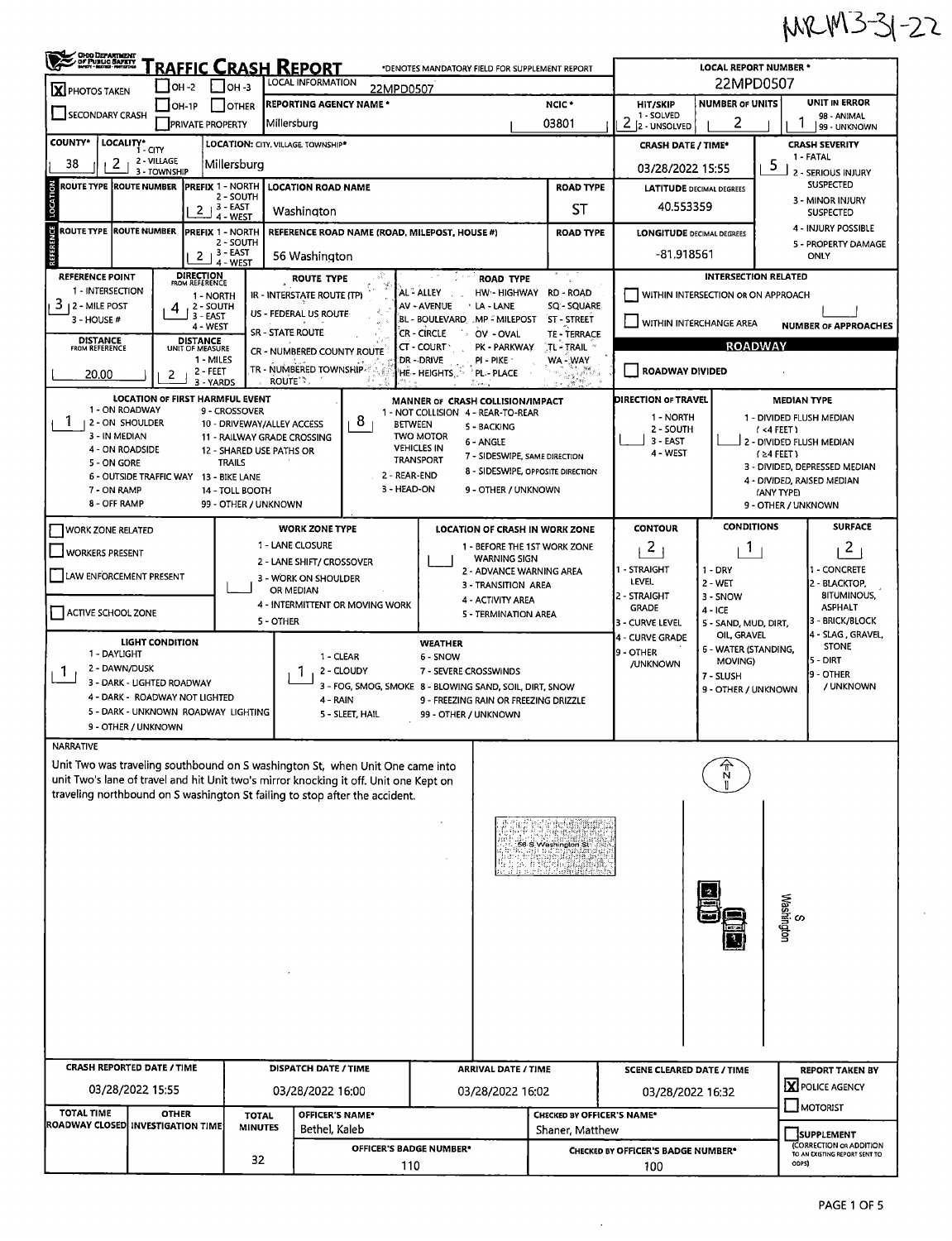## MRM3-31-22

| LOCAL INFORMATION<br>22MPD0507<br>$LOH - 2$<br>I Іон-з<br>22MPD0507<br>$\overline{\mathbf{X}}$ PHOTOS TAKEN<br><b>UNIT IN ERROR</b><br><b>NUMBER OF UNITS</b><br><b>REPORTING AGENCY NAME *</b><br>NCIC <sup>*</sup><br><b>HIT/SKIP</b><br>$\Box$ OH-1P<br><b>OTHER</b><br>SECONDARY CRASH<br>1 - SOLVED<br>98 - ANIMAL<br>2<br>2<br>03801<br>Millersburg<br><b>PRIVATE PROPERTY</b><br>2 - UNSOLVED<br>99 - UNKNOWN<br>COUNTY*<br>LOCALITY*<br>LOCATION: CITY, VILLAGE TOWNSHIP*<br><b>CRASH SEVERITY</b><br><b>CRASH DATE / TIME*</b><br>1 - CITY<br>1 - FATAL<br>2 - VILLAGE<br>38<br>2<br>Millersburg<br>5<br>03/28/2022 15:55<br>3 - TOWNSHIP<br>2 - SERIOUS INJURY<br><b>SUSPECTED</b><br><b>ROUTE TYPE ROUTE NUMBER</b><br>PREFIX 1 - NORTH<br><b>LOCATION ROAD NAME</b><br><b>ROAD TYPE</b><br><b>LATITUDE DECIMAL DEGREES</b><br>LOCATI<br>2 - SOUTH<br>3 - MINOR INJURY<br>40.553359<br>լ 3 - EAST<br><b>ST</b><br>2<br>Washington<br><b>SUSPECTED</b><br>4 - WEST<br><b>CE</b><br>4 - INJURY POSSIBLE<br><b>ROUTE TYPE</b><br><b>ROUTE NUMBER</b><br><b>PREFIX 1 - NORTH</b><br>REFERENCE ROAD NAME (ROAD, MILEPOST, HOUSE #)<br><b>ROAD TYPE</b><br><b>LONGITUDE DECIMAL DEGREES</b><br>2 - SOUTH<br>5 - PROPERTY DAMAGE<br>, 3 - EAST<br>-81.918561<br>2<br>56 Washington<br><b>ONLY</b><br>4 - WEST<br><b>DIRECTION</b><br>FROM REFERENCE<br><b>INTERSECTION RELATED</b><br>REFERENCE POINT<br><b>ROAD TYPE</b><br>ROUTE TYPE<br>1 - INTERSECTION<br>HW - HIGHWAY<br>AL - ALLEY<br>RD - ROAD<br>WITHIN INTERSECTION OR ON APPROACH<br>IR - INTERSTATE ROUTE (TP)<br>1 - NORTH<br>3<br><b>SQ - SQUARE</b><br><b>12 - MILE POST</b><br><b>AV - AVENUE</b><br><b>LA - LANE</b><br>2 - SOUTH<br>4<br>US - FEDERAL US ROUTE<br>3 - EAST<br>BL - BOULEVARD MP - MILEPOST<br>3 - HOUSE #<br>ST - STREET<br>WITHIN INTERCHANGE AREA<br><b>NUMBER OF APPROACHES</b><br>4 - WEST<br><b>SR - STATE ROUTE</b><br><b>CR-CIRCLE</b><br>OV - OVAL<br>TE - TERRACE<br><b>DISTANCE</b><br><b>DISTANCE</b><br><b>ROADWAY</b><br>$CT - COURT$<br>PK - PARKWAY<br>TL - TRAIL<br><b>FROM REFERENCE</b><br>UNIT OF MEASURE<br>CR - NUMBERED COUNTY ROUTE<br>1 - MILES<br>DR - DRIVE<br>WA-WAY<br>PI - PIKE<br>TR - NUMBERED TOWNSHIP<br><b>ROADWAY DIVIDED</b><br>2 - FEET<br>HE - HEIGHTS<br>* PL- PLACE<br>20,00<br>2<br>G⊬\$<br>ROUTE <sup>*</sup><br>3 - YARDS<br>٠ĸ.<br>Elen.<br>-18<br><b>LOCATION OF FIRST HARMFUL EVENT</b><br><b>DIRECTION OF TRAVEL</b><br><b>MEDIAN TYPE</b><br>MANNER OF CRASH COLLISION/IMPACT<br>1 - ON ROADWAY<br>9 - CROSSOVER<br>1 - NOT COLLISION 4 - REAR-TO-REAR<br>1 - NORTH<br>1 - DIVIDED FLUSH MEDIAN<br>8<br>1<br>2 - ON SHOULDER<br>10 - DRIVEWAY/ALLEY ACCESS<br><b>BETWEEN</b><br>5 - BACKING<br>2 - SOUTH<br>$(4$ FEET)<br>3 - IN MEDIAN<br><b>TWO MOTOR</b><br>11 - RAILWAY GRADE CROSSING<br>$3 - EAST$<br>6 - ANGLE<br>S 2 - DIVIDED FLUSH MEDIAN<br><b>VEHICLES IN</b><br>4 - ON ROADSIDE<br>12 - SHARED USE PATHS OR<br>4 - WEST<br>$(24$ FEET)<br>7 - SIDESWIPE, SAME DIRECTION<br><b>TRANSPORT</b><br><b>TRAILS</b><br>5 - ON GORE<br>3 - DIVIDED, DEPRESSED MEDIAN<br>8 - SIDESWIPE, OPPOSITE DIRECTION<br>2 - REAR-END<br>6 - OUTSIDE TRAFFIC WAY 13 - BIKE LANE<br>4 - DIVIDED, RAISED MEDIAN<br>3 - HEAD-ON<br>9 - OTHER / UNKNOWN<br>7 - ON RAMP<br>14 - TOLL BOOTH<br>(ANY TYPE)<br>8 - OFF RAMP<br>99 - OTHER / UNKNOWN<br>9 - OTHER / UNKNOWN<br><b>CONDITIONS</b><br><b>SURFACE</b><br><b>CONTOUR</b><br><b>WORK ZONE TYPE</b><br>LOCATION OF CRASH IN WORK ZONE<br><b>WORK ZONE RELATED</b><br>1 - LANE CLOSURE<br>$\mathbf{2}$<br>$\overline{c}$<br>1 - BEFORE THE 1ST WORK ZONE<br>1<br><b>WORKERS PRESENT</b><br><b>WARNING SIGN</b><br>2 - LANE SHIFT/ CROSSOVER<br>1 - STRAIGHT<br>1 - CONCRETE<br>$1 - DRY$<br>2 - ADVANCE WARNING AREA<br>LAW ENFORCEMENT PRESENT<br>3 - WORK ON SHOULDER<br>LEVEL<br>2 - WET<br>2 - BLACKTOP,<br>3 - TRANSITION AREA<br>OR MEDIAN<br><b>BITUMINOUS,</b><br>2 - STRAIGHT<br>3 - SNOW<br>4 - ACTIVITY AREA<br>4 - INTERMITTENT OR MOVING WORK<br>ASPHALT<br><b>GRADE</b><br>4 - ICE<br>ACTIVE SCHOOL ZONE<br>5 - TERMINATION AREA<br>- BRICK/BLOCK<br>5 - OTHER<br>3 - CURVE LEVEL<br>5 - SAND, MUD, DIRT,<br>4 - SLAG, GRAVEL,<br>OIL, GRAVEL<br>4 - CURVE GRADE<br><b>LIGHT CONDITION</b><br><b>WEATHER</b><br><b>STONE</b><br>6 - WATER (STANDING,<br>19 - OTHER<br>1 - DAYLIGHT<br>1 - CLEAR<br>6 - SNOW<br>5 - DIRT<br>MOVING)<br>/UNKNOWN<br>2 - DAWN/DUSK<br>2 - CLOUDY<br>7 - SEVERE CROSSWINDS<br>Т.<br>9 - OTHER<br>7 - SLUSH<br>3 - DARK - LIGHTED ROADWAY<br>3 - FOG, SMOG, SMOKE 8 - BLOWING SAND, SOIL, DIRT, SNOW<br>/ UNKNOWN<br>9 - OTHER / UNKNOWN<br>4 - DARK - ROADWAY NOT LIGHTED<br>4 - RAIN<br>9 - FREEZING RAIN OR FREEZING DRIZZLE<br>5 - DARK - UNKNOWN ROADWAY LIGHTING<br>5 - SLEET, HAIL<br>99 - OTHER / UNKNOWN<br>9 - OTHER / UNKNOWN<br><b>NARRATIVE</b><br>Unit Two was traveling southbound on S washington St, when Unit One came into<br>unit Two's lane of travel and hit Unit two's mirror knocking it off. Unit one Kept on<br>traveling northbound on S washington St failing to stop after the accident.<br>56 S Weshington St<br>S<br>Washington<br><b>CRASH REPORTED DATE / TIME</b><br><b>DISPATCH DATE / TIME</b><br><b>ARRIVAL DATE / TIME</b><br><b>REPORT TAKEN BY</b><br><b>SCENE CLEARED DATE / TIME</b><br>X POLICE AGENCY<br>03/28/2022 15:55<br>03/28/2022 16:00<br>03/28/2022 16:02<br>03/28/2022 16:32<br>$\Box$ MOTORIST<br><b>TOTAL TIME</b><br><b>OTHER</b><br>OFFICER'S NAME*<br><b>TOTAL</b><br><b>CHECKED BY OFFICER'S NAME*</b><br>ROADWAY CLOSED INVESTIGATION TIME<br><b>MINUTES</b><br>Bethel, Kaleb<br>Shaner, Matthew<br>SUPPLEMENT<br>(CORRECTION OR ADDITION<br>OFFICER'S BADGE NUMBER*<br>CHECKED BY OFFICER'S BADGE NUMBER*<br>TO AN EXISTING REPORT SENT TO<br>32<br>ODPS)<br>110<br>100 | OHO DEPARTMENT<br><b>FRAFFIC CRASH REPORT</b><br><b>LOCAL REPORT NUMBER *</b><br>*DENOTES MANDATORY FIELD FOR SUPPLEMENT REPORT |  |  |  |  |  |  |  |  |  |  |  |
|--------------------------------------------------------------------------------------------------------------------------------------------------------------------------------------------------------------------------------------------------------------------------------------------------------------------------------------------------------------------------------------------------------------------------------------------------------------------------------------------------------------------------------------------------------------------------------------------------------------------------------------------------------------------------------------------------------------------------------------------------------------------------------------------------------------------------------------------------------------------------------------------------------------------------------------------------------------------------------------------------------------------------------------------------------------------------------------------------------------------------------------------------------------------------------------------------------------------------------------------------------------------------------------------------------------------------------------------------------------------------------------------------------------------------------------------------------------------------------------------------------------------------------------------------------------------------------------------------------------------------------------------------------------------------------------------------------------------------------------------------------------------------------------------------------------------------------------------------------------------------------------------------------------------------------------------------------------------------------------------------------------------------------------------------------------------------------------------------------------------------------------------------------------------------------------------------------------------------------------------------------------------------------------------------------------------------------------------------------------------------------------------------------------------------------------------------------------------------------------------------------------------------------------------------------------------------------------------------------------------------------------------------------------------------------------------------------------------------------------------------------------------------------------------------------------------------------------------------------------------------------------------------------------------------------------------------------------------------------------------------------------------------------------------------------------------------------------------------------------------------------------------------------------------------------------------------------------------------------------------------------------------------------------------------------------------------------------------------------------------------------------------------------------------------------------------------------------------------------------------------------------------------------------------------------------------------------------------------------------------------------------------------------------------------------------------------------------------------------------------------------------------------------------------------------------------------------------------------------------------------------------------------------------------------------------------------------------------------------------------------------------------------------------------------------------------------------------------------------------------------------------------------------------------------------------------------------------------------------------------------------------------------------------------------------------------------------------------------------------------------------------------------------------------------------------------------------------------------------------------------------------------------------------------------------------------------------------------------------------------------------------------------------------------------------------------------------------------------------------------------------------------------------------------------------------------------------------------------------------------------------------------------------------------------------------------------------------------------------------------------------------------------------------------------------------------------------------------------------------------------------------------------------------------------------------------------------------------------------------------------------------------------------------------------------------------------------------------------------------------------------------------------------------------------------------------------------------------------------------------------------------------------------------------------------------------------------------------------------------------------------------------------------------------------------------------------------------------------------------------------------------------------------------------------------------------------------------------------------------|---------------------------------------------------------------------------------------------------------------------------------|--|--|--|--|--|--|--|--|--|--|--|
|                                                                                                                                                                                                                                                                                                                                                                                                                                                                                                                                                                                                                                                                                                                                                                                                                                                                                                                                                                                                                                                                                                                                                                                                                                                                                                                                                                                                                                                                                                                                                                                                                                                                                                                                                                                                                                                                                                                                                                                                                                                                                                                                                                                                                                                                                                                                                                                                                                                                                                                                                                                                                                                                                                                                                                                                                                                                                                                                                                                                                                                                                                                                                                                                                                                                                                                                                                                                                                                                                                                                                                                                                                                                                                                                                                                                                                                                                                                                                                                                                                                                                                                                                                                                                                                                                                                                                                                                                                                                                                                                                                                                                                                                                                                                                                                                                                                                                                                                                                                                                                                                                                                                                                                                                                                                                                                                                                                                                                                                                                                                                                                                                                                                                                                                                                                                                                                              |                                                                                                                                 |  |  |  |  |  |  |  |  |  |  |  |
|                                                                                                                                                                                                                                                                                                                                                                                                                                                                                                                                                                                                                                                                                                                                                                                                                                                                                                                                                                                                                                                                                                                                                                                                                                                                                                                                                                                                                                                                                                                                                                                                                                                                                                                                                                                                                                                                                                                                                                                                                                                                                                                                                                                                                                                                                                                                                                                                                                                                                                                                                                                                                                                                                                                                                                                                                                                                                                                                                                                                                                                                                                                                                                                                                                                                                                                                                                                                                                                                                                                                                                                                                                                                                                                                                                                                                                                                                                                                                                                                                                                                                                                                                                                                                                                                                                                                                                                                                                                                                                                                                                                                                                                                                                                                                                                                                                                                                                                                                                                                                                                                                                                                                                                                                                                                                                                                                                                                                                                                                                                                                                                                                                                                                                                                                                                                                                                              |                                                                                                                                 |  |  |  |  |  |  |  |  |  |  |  |
|                                                                                                                                                                                                                                                                                                                                                                                                                                                                                                                                                                                                                                                                                                                                                                                                                                                                                                                                                                                                                                                                                                                                                                                                                                                                                                                                                                                                                                                                                                                                                                                                                                                                                                                                                                                                                                                                                                                                                                                                                                                                                                                                                                                                                                                                                                                                                                                                                                                                                                                                                                                                                                                                                                                                                                                                                                                                                                                                                                                                                                                                                                                                                                                                                                                                                                                                                                                                                                                                                                                                                                                                                                                                                                                                                                                                                                                                                                                                                                                                                                                                                                                                                                                                                                                                                                                                                                                                                                                                                                                                                                                                                                                                                                                                                                                                                                                                                                                                                                                                                                                                                                                                                                                                                                                                                                                                                                                                                                                                                                                                                                                                                                                                                                                                                                                                                                                              |                                                                                                                                 |  |  |  |  |  |  |  |  |  |  |  |
|                                                                                                                                                                                                                                                                                                                                                                                                                                                                                                                                                                                                                                                                                                                                                                                                                                                                                                                                                                                                                                                                                                                                                                                                                                                                                                                                                                                                                                                                                                                                                                                                                                                                                                                                                                                                                                                                                                                                                                                                                                                                                                                                                                                                                                                                                                                                                                                                                                                                                                                                                                                                                                                                                                                                                                                                                                                                                                                                                                                                                                                                                                                                                                                                                                                                                                                                                                                                                                                                                                                                                                                                                                                                                                                                                                                                                                                                                                                                                                                                                                                                                                                                                                                                                                                                                                                                                                                                                                                                                                                                                                                                                                                                                                                                                                                                                                                                                                                                                                                                                                                                                                                                                                                                                                                                                                                                                                                                                                                                                                                                                                                                                                                                                                                                                                                                                                                              |                                                                                                                                 |  |  |  |  |  |  |  |  |  |  |  |
|                                                                                                                                                                                                                                                                                                                                                                                                                                                                                                                                                                                                                                                                                                                                                                                                                                                                                                                                                                                                                                                                                                                                                                                                                                                                                                                                                                                                                                                                                                                                                                                                                                                                                                                                                                                                                                                                                                                                                                                                                                                                                                                                                                                                                                                                                                                                                                                                                                                                                                                                                                                                                                                                                                                                                                                                                                                                                                                                                                                                                                                                                                                                                                                                                                                                                                                                                                                                                                                                                                                                                                                                                                                                                                                                                                                                                                                                                                                                                                                                                                                                                                                                                                                                                                                                                                                                                                                                                                                                                                                                                                                                                                                                                                                                                                                                                                                                                                                                                                                                                                                                                                                                                                                                                                                                                                                                                                                                                                                                                                                                                                                                                                                                                                                                                                                                                                                              |                                                                                                                                 |  |  |  |  |  |  |  |  |  |  |  |
|                                                                                                                                                                                                                                                                                                                                                                                                                                                                                                                                                                                                                                                                                                                                                                                                                                                                                                                                                                                                                                                                                                                                                                                                                                                                                                                                                                                                                                                                                                                                                                                                                                                                                                                                                                                                                                                                                                                                                                                                                                                                                                                                                                                                                                                                                                                                                                                                                                                                                                                                                                                                                                                                                                                                                                                                                                                                                                                                                                                                                                                                                                                                                                                                                                                                                                                                                                                                                                                                                                                                                                                                                                                                                                                                                                                                                                                                                                                                                                                                                                                                                                                                                                                                                                                                                                                                                                                                                                                                                                                                                                                                                                                                                                                                                                                                                                                                                                                                                                                                                                                                                                                                                                                                                                                                                                                                                                                                                                                                                                                                                                                                                                                                                                                                                                                                                                                              |                                                                                                                                 |  |  |  |  |  |  |  |  |  |  |  |
|                                                                                                                                                                                                                                                                                                                                                                                                                                                                                                                                                                                                                                                                                                                                                                                                                                                                                                                                                                                                                                                                                                                                                                                                                                                                                                                                                                                                                                                                                                                                                                                                                                                                                                                                                                                                                                                                                                                                                                                                                                                                                                                                                                                                                                                                                                                                                                                                                                                                                                                                                                                                                                                                                                                                                                                                                                                                                                                                                                                                                                                                                                                                                                                                                                                                                                                                                                                                                                                                                                                                                                                                                                                                                                                                                                                                                                                                                                                                                                                                                                                                                                                                                                                                                                                                                                                                                                                                                                                                                                                                                                                                                                                                                                                                                                                                                                                                                                                                                                                                                                                                                                                                                                                                                                                                                                                                                                                                                                                                                                                                                                                                                                                                                                                                                                                                                                                              |                                                                                                                                 |  |  |  |  |  |  |  |  |  |  |  |
|                                                                                                                                                                                                                                                                                                                                                                                                                                                                                                                                                                                                                                                                                                                                                                                                                                                                                                                                                                                                                                                                                                                                                                                                                                                                                                                                                                                                                                                                                                                                                                                                                                                                                                                                                                                                                                                                                                                                                                                                                                                                                                                                                                                                                                                                                                                                                                                                                                                                                                                                                                                                                                                                                                                                                                                                                                                                                                                                                                                                                                                                                                                                                                                                                                                                                                                                                                                                                                                                                                                                                                                                                                                                                                                                                                                                                                                                                                                                                                                                                                                                                                                                                                                                                                                                                                                                                                                                                                                                                                                                                                                                                                                                                                                                                                                                                                                                                                                                                                                                                                                                                                                                                                                                                                                                                                                                                                                                                                                                                                                                                                                                                                                                                                                                                                                                                                                              |                                                                                                                                 |  |  |  |  |  |  |  |  |  |  |  |
|                                                                                                                                                                                                                                                                                                                                                                                                                                                                                                                                                                                                                                                                                                                                                                                                                                                                                                                                                                                                                                                                                                                                                                                                                                                                                                                                                                                                                                                                                                                                                                                                                                                                                                                                                                                                                                                                                                                                                                                                                                                                                                                                                                                                                                                                                                                                                                                                                                                                                                                                                                                                                                                                                                                                                                                                                                                                                                                                                                                                                                                                                                                                                                                                                                                                                                                                                                                                                                                                                                                                                                                                                                                                                                                                                                                                                                                                                                                                                                                                                                                                                                                                                                                                                                                                                                                                                                                                                                                                                                                                                                                                                                                                                                                                                                                                                                                                                                                                                                                                                                                                                                                                                                                                                                                                                                                                                                                                                                                                                                                                                                                                                                                                                                                                                                                                                                                              |                                                                                                                                 |  |  |  |  |  |  |  |  |  |  |  |
|                                                                                                                                                                                                                                                                                                                                                                                                                                                                                                                                                                                                                                                                                                                                                                                                                                                                                                                                                                                                                                                                                                                                                                                                                                                                                                                                                                                                                                                                                                                                                                                                                                                                                                                                                                                                                                                                                                                                                                                                                                                                                                                                                                                                                                                                                                                                                                                                                                                                                                                                                                                                                                                                                                                                                                                                                                                                                                                                                                                                                                                                                                                                                                                                                                                                                                                                                                                                                                                                                                                                                                                                                                                                                                                                                                                                                                                                                                                                                                                                                                                                                                                                                                                                                                                                                                                                                                                                                                                                                                                                                                                                                                                                                                                                                                                                                                                                                                                                                                                                                                                                                                                                                                                                                                                                                                                                                                                                                                                                                                                                                                                                                                                                                                                                                                                                                                                              |                                                                                                                                 |  |  |  |  |  |  |  |  |  |  |  |
|                                                                                                                                                                                                                                                                                                                                                                                                                                                                                                                                                                                                                                                                                                                                                                                                                                                                                                                                                                                                                                                                                                                                                                                                                                                                                                                                                                                                                                                                                                                                                                                                                                                                                                                                                                                                                                                                                                                                                                                                                                                                                                                                                                                                                                                                                                                                                                                                                                                                                                                                                                                                                                                                                                                                                                                                                                                                                                                                                                                                                                                                                                                                                                                                                                                                                                                                                                                                                                                                                                                                                                                                                                                                                                                                                                                                                                                                                                                                                                                                                                                                                                                                                                                                                                                                                                                                                                                                                                                                                                                                                                                                                                                                                                                                                                                                                                                                                                                                                                                                                                                                                                                                                                                                                                                                                                                                                                                                                                                                                                                                                                                                                                                                                                                                                                                                                                                              |                                                                                                                                 |  |  |  |  |  |  |  |  |  |  |  |
|                                                                                                                                                                                                                                                                                                                                                                                                                                                                                                                                                                                                                                                                                                                                                                                                                                                                                                                                                                                                                                                                                                                                                                                                                                                                                                                                                                                                                                                                                                                                                                                                                                                                                                                                                                                                                                                                                                                                                                                                                                                                                                                                                                                                                                                                                                                                                                                                                                                                                                                                                                                                                                                                                                                                                                                                                                                                                                                                                                                                                                                                                                                                                                                                                                                                                                                                                                                                                                                                                                                                                                                                                                                                                                                                                                                                                                                                                                                                                                                                                                                                                                                                                                                                                                                                                                                                                                                                                                                                                                                                                                                                                                                                                                                                                                                                                                                                                                                                                                                                                                                                                                                                                                                                                                                                                                                                                                                                                                                                                                                                                                                                                                                                                                                                                                                                                                                              |                                                                                                                                 |  |  |  |  |  |  |  |  |  |  |  |
|                                                                                                                                                                                                                                                                                                                                                                                                                                                                                                                                                                                                                                                                                                                                                                                                                                                                                                                                                                                                                                                                                                                                                                                                                                                                                                                                                                                                                                                                                                                                                                                                                                                                                                                                                                                                                                                                                                                                                                                                                                                                                                                                                                                                                                                                                                                                                                                                                                                                                                                                                                                                                                                                                                                                                                                                                                                                                                                                                                                                                                                                                                                                                                                                                                                                                                                                                                                                                                                                                                                                                                                                                                                                                                                                                                                                                                                                                                                                                                                                                                                                                                                                                                                                                                                                                                                                                                                                                                                                                                                                                                                                                                                                                                                                                                                                                                                                                                                                                                                                                                                                                                                                                                                                                                                                                                                                                                                                                                                                                                                                                                                                                                                                                                                                                                                                                                                              |                                                                                                                                 |  |  |  |  |  |  |  |  |  |  |  |
|                                                                                                                                                                                                                                                                                                                                                                                                                                                                                                                                                                                                                                                                                                                                                                                                                                                                                                                                                                                                                                                                                                                                                                                                                                                                                                                                                                                                                                                                                                                                                                                                                                                                                                                                                                                                                                                                                                                                                                                                                                                                                                                                                                                                                                                                                                                                                                                                                                                                                                                                                                                                                                                                                                                                                                                                                                                                                                                                                                                                                                                                                                                                                                                                                                                                                                                                                                                                                                                                                                                                                                                                                                                                                                                                                                                                                                                                                                                                                                                                                                                                                                                                                                                                                                                                                                                                                                                                                                                                                                                                                                                                                                                                                                                                                                                                                                                                                                                                                                                                                                                                                                                                                                                                                                                                                                                                                                                                                                                                                                                                                                                                                                                                                                                                                                                                                                                              |                                                                                                                                 |  |  |  |  |  |  |  |  |  |  |  |
|                                                                                                                                                                                                                                                                                                                                                                                                                                                                                                                                                                                                                                                                                                                                                                                                                                                                                                                                                                                                                                                                                                                                                                                                                                                                                                                                                                                                                                                                                                                                                                                                                                                                                                                                                                                                                                                                                                                                                                                                                                                                                                                                                                                                                                                                                                                                                                                                                                                                                                                                                                                                                                                                                                                                                                                                                                                                                                                                                                                                                                                                                                                                                                                                                                                                                                                                                                                                                                                                                                                                                                                                                                                                                                                                                                                                                                                                                                                                                                                                                                                                                                                                                                                                                                                                                                                                                                                                                                                                                                                                                                                                                                                                                                                                                                                                                                                                                                                                                                                                                                                                                                                                                                                                                                                                                                                                                                                                                                                                                                                                                                                                                                                                                                                                                                                                                                                              |                                                                                                                                 |  |  |  |  |  |  |  |  |  |  |  |
|                                                                                                                                                                                                                                                                                                                                                                                                                                                                                                                                                                                                                                                                                                                                                                                                                                                                                                                                                                                                                                                                                                                                                                                                                                                                                                                                                                                                                                                                                                                                                                                                                                                                                                                                                                                                                                                                                                                                                                                                                                                                                                                                                                                                                                                                                                                                                                                                                                                                                                                                                                                                                                                                                                                                                                                                                                                                                                                                                                                                                                                                                                                                                                                                                                                                                                                                                                                                                                                                                                                                                                                                                                                                                                                                                                                                                                                                                                                                                                                                                                                                                                                                                                                                                                                                                                                                                                                                                                                                                                                                                                                                                                                                                                                                                                                                                                                                                                                                                                                                                                                                                                                                                                                                                                                                                                                                                                                                                                                                                                                                                                                                                                                                                                                                                                                                                                                              |                                                                                                                                 |  |  |  |  |  |  |  |  |  |  |  |
|                                                                                                                                                                                                                                                                                                                                                                                                                                                                                                                                                                                                                                                                                                                                                                                                                                                                                                                                                                                                                                                                                                                                                                                                                                                                                                                                                                                                                                                                                                                                                                                                                                                                                                                                                                                                                                                                                                                                                                                                                                                                                                                                                                                                                                                                                                                                                                                                                                                                                                                                                                                                                                                                                                                                                                                                                                                                                                                                                                                                                                                                                                                                                                                                                                                                                                                                                                                                                                                                                                                                                                                                                                                                                                                                                                                                                                                                                                                                                                                                                                                                                                                                                                                                                                                                                                                                                                                                                                                                                                                                                                                                                                                                                                                                                                                                                                                                                                                                                                                                                                                                                                                                                                                                                                                                                                                                                                                                                                                                                                                                                                                                                                                                                                                                                                                                                                                              |                                                                                                                                 |  |  |  |  |  |  |  |  |  |  |  |
|                                                                                                                                                                                                                                                                                                                                                                                                                                                                                                                                                                                                                                                                                                                                                                                                                                                                                                                                                                                                                                                                                                                                                                                                                                                                                                                                                                                                                                                                                                                                                                                                                                                                                                                                                                                                                                                                                                                                                                                                                                                                                                                                                                                                                                                                                                                                                                                                                                                                                                                                                                                                                                                                                                                                                                                                                                                                                                                                                                                                                                                                                                                                                                                                                                                                                                                                                                                                                                                                                                                                                                                                                                                                                                                                                                                                                                                                                                                                                                                                                                                                                                                                                                                                                                                                                                                                                                                                                                                                                                                                                                                                                                                                                                                                                                                                                                                                                                                                                                                                                                                                                                                                                                                                                                                                                                                                                                                                                                                                                                                                                                                                                                                                                                                                                                                                                                                              |                                                                                                                                 |  |  |  |  |  |  |  |  |  |  |  |
|                                                                                                                                                                                                                                                                                                                                                                                                                                                                                                                                                                                                                                                                                                                                                                                                                                                                                                                                                                                                                                                                                                                                                                                                                                                                                                                                                                                                                                                                                                                                                                                                                                                                                                                                                                                                                                                                                                                                                                                                                                                                                                                                                                                                                                                                                                                                                                                                                                                                                                                                                                                                                                                                                                                                                                                                                                                                                                                                                                                                                                                                                                                                                                                                                                                                                                                                                                                                                                                                                                                                                                                                                                                                                                                                                                                                                                                                                                                                                                                                                                                                                                                                                                                                                                                                                                                                                                                                                                                                                                                                                                                                                                                                                                                                                                                                                                                                                                                                                                                                                                                                                                                                                                                                                                                                                                                                                                                                                                                                                                                                                                                                                                                                                                                                                                                                                                                              |                                                                                                                                 |  |  |  |  |  |  |  |  |  |  |  |
|                                                                                                                                                                                                                                                                                                                                                                                                                                                                                                                                                                                                                                                                                                                                                                                                                                                                                                                                                                                                                                                                                                                                                                                                                                                                                                                                                                                                                                                                                                                                                                                                                                                                                                                                                                                                                                                                                                                                                                                                                                                                                                                                                                                                                                                                                                                                                                                                                                                                                                                                                                                                                                                                                                                                                                                                                                                                                                                                                                                                                                                                                                                                                                                                                                                                                                                                                                                                                                                                                                                                                                                                                                                                                                                                                                                                                                                                                                                                                                                                                                                                                                                                                                                                                                                                                                                                                                                                                                                                                                                                                                                                                                                                                                                                                                                                                                                                                                                                                                                                                                                                                                                                                                                                                                                                                                                                                                                                                                                                                                                                                                                                                                                                                                                                                                                                                                                              |                                                                                                                                 |  |  |  |  |  |  |  |  |  |  |  |
|                                                                                                                                                                                                                                                                                                                                                                                                                                                                                                                                                                                                                                                                                                                                                                                                                                                                                                                                                                                                                                                                                                                                                                                                                                                                                                                                                                                                                                                                                                                                                                                                                                                                                                                                                                                                                                                                                                                                                                                                                                                                                                                                                                                                                                                                                                                                                                                                                                                                                                                                                                                                                                                                                                                                                                                                                                                                                                                                                                                                                                                                                                                                                                                                                                                                                                                                                                                                                                                                                                                                                                                                                                                                                                                                                                                                                                                                                                                                                                                                                                                                                                                                                                                                                                                                                                                                                                                                                                                                                                                                                                                                                                                                                                                                                                                                                                                                                                                                                                                                                                                                                                                                                                                                                                                                                                                                                                                                                                                                                                                                                                                                                                                                                                                                                                                                                                                              |                                                                                                                                 |  |  |  |  |  |  |  |  |  |  |  |
|                                                                                                                                                                                                                                                                                                                                                                                                                                                                                                                                                                                                                                                                                                                                                                                                                                                                                                                                                                                                                                                                                                                                                                                                                                                                                                                                                                                                                                                                                                                                                                                                                                                                                                                                                                                                                                                                                                                                                                                                                                                                                                                                                                                                                                                                                                                                                                                                                                                                                                                                                                                                                                                                                                                                                                                                                                                                                                                                                                                                                                                                                                                                                                                                                                                                                                                                                                                                                                                                                                                                                                                                                                                                                                                                                                                                                                                                                                                                                                                                                                                                                                                                                                                                                                                                                                                                                                                                                                                                                                                                                                                                                                                                                                                                                                                                                                                                                                                                                                                                                                                                                                                                                                                                                                                                                                                                                                                                                                                                                                                                                                                                                                                                                                                                                                                                                                                              |                                                                                                                                 |  |  |  |  |  |  |  |  |  |  |  |
|                                                                                                                                                                                                                                                                                                                                                                                                                                                                                                                                                                                                                                                                                                                                                                                                                                                                                                                                                                                                                                                                                                                                                                                                                                                                                                                                                                                                                                                                                                                                                                                                                                                                                                                                                                                                                                                                                                                                                                                                                                                                                                                                                                                                                                                                                                                                                                                                                                                                                                                                                                                                                                                                                                                                                                                                                                                                                                                                                                                                                                                                                                                                                                                                                                                                                                                                                                                                                                                                                                                                                                                                                                                                                                                                                                                                                                                                                                                                                                                                                                                                                                                                                                                                                                                                                                                                                                                                                                                                                                                                                                                                                                                                                                                                                                                                                                                                                                                                                                                                                                                                                                                                                                                                                                                                                                                                                                                                                                                                                                                                                                                                                                                                                                                                                                                                                                                              |                                                                                                                                 |  |  |  |  |  |  |  |  |  |  |  |
|                                                                                                                                                                                                                                                                                                                                                                                                                                                                                                                                                                                                                                                                                                                                                                                                                                                                                                                                                                                                                                                                                                                                                                                                                                                                                                                                                                                                                                                                                                                                                                                                                                                                                                                                                                                                                                                                                                                                                                                                                                                                                                                                                                                                                                                                                                                                                                                                                                                                                                                                                                                                                                                                                                                                                                                                                                                                                                                                                                                                                                                                                                                                                                                                                                                                                                                                                                                                                                                                                                                                                                                                                                                                                                                                                                                                                                                                                                                                                                                                                                                                                                                                                                                                                                                                                                                                                                                                                                                                                                                                                                                                                                                                                                                                                                                                                                                                                                                                                                                                                                                                                                                                                                                                                                                                                                                                                                                                                                                                                                                                                                                                                                                                                                                                                                                                                                                              |                                                                                                                                 |  |  |  |  |  |  |  |  |  |  |  |
|                                                                                                                                                                                                                                                                                                                                                                                                                                                                                                                                                                                                                                                                                                                                                                                                                                                                                                                                                                                                                                                                                                                                                                                                                                                                                                                                                                                                                                                                                                                                                                                                                                                                                                                                                                                                                                                                                                                                                                                                                                                                                                                                                                                                                                                                                                                                                                                                                                                                                                                                                                                                                                                                                                                                                                                                                                                                                                                                                                                                                                                                                                                                                                                                                                                                                                                                                                                                                                                                                                                                                                                                                                                                                                                                                                                                                                                                                                                                                                                                                                                                                                                                                                                                                                                                                                                                                                                                                                                                                                                                                                                                                                                                                                                                                                                                                                                                                                                                                                                                                                                                                                                                                                                                                                                                                                                                                                                                                                                                                                                                                                                                                                                                                                                                                                                                                                                              |                                                                                                                                 |  |  |  |  |  |  |  |  |  |  |  |
|                                                                                                                                                                                                                                                                                                                                                                                                                                                                                                                                                                                                                                                                                                                                                                                                                                                                                                                                                                                                                                                                                                                                                                                                                                                                                                                                                                                                                                                                                                                                                                                                                                                                                                                                                                                                                                                                                                                                                                                                                                                                                                                                                                                                                                                                                                                                                                                                                                                                                                                                                                                                                                                                                                                                                                                                                                                                                                                                                                                                                                                                                                                                                                                                                                                                                                                                                                                                                                                                                                                                                                                                                                                                                                                                                                                                                                                                                                                                                                                                                                                                                                                                                                                                                                                                                                                                                                                                                                                                                                                                                                                                                                                                                                                                                                                                                                                                                                                                                                                                                                                                                                                                                                                                                                                                                                                                                                                                                                                                                                                                                                                                                                                                                                                                                                                                                                                              |                                                                                                                                 |  |  |  |  |  |  |  |  |  |  |  |
|                                                                                                                                                                                                                                                                                                                                                                                                                                                                                                                                                                                                                                                                                                                                                                                                                                                                                                                                                                                                                                                                                                                                                                                                                                                                                                                                                                                                                                                                                                                                                                                                                                                                                                                                                                                                                                                                                                                                                                                                                                                                                                                                                                                                                                                                                                                                                                                                                                                                                                                                                                                                                                                                                                                                                                                                                                                                                                                                                                                                                                                                                                                                                                                                                                                                                                                                                                                                                                                                                                                                                                                                                                                                                                                                                                                                                                                                                                                                                                                                                                                                                                                                                                                                                                                                                                                                                                                                                                                                                                                                                                                                                                                                                                                                                                                                                                                                                                                                                                                                                                                                                                                                                                                                                                                                                                                                                                                                                                                                                                                                                                                                                                                                                                                                                                                                                                                              |                                                                                                                                 |  |  |  |  |  |  |  |  |  |  |  |
|                                                                                                                                                                                                                                                                                                                                                                                                                                                                                                                                                                                                                                                                                                                                                                                                                                                                                                                                                                                                                                                                                                                                                                                                                                                                                                                                                                                                                                                                                                                                                                                                                                                                                                                                                                                                                                                                                                                                                                                                                                                                                                                                                                                                                                                                                                                                                                                                                                                                                                                                                                                                                                                                                                                                                                                                                                                                                                                                                                                                                                                                                                                                                                                                                                                                                                                                                                                                                                                                                                                                                                                                                                                                                                                                                                                                                                                                                                                                                                                                                                                                                                                                                                                                                                                                                                                                                                                                                                                                                                                                                                                                                                                                                                                                                                                                                                                                                                                                                                                                                                                                                                                                                                                                                                                                                                                                                                                                                                                                                                                                                                                                                                                                                                                                                                                                                                                              |                                                                                                                                 |  |  |  |  |  |  |  |  |  |  |  |
|                                                                                                                                                                                                                                                                                                                                                                                                                                                                                                                                                                                                                                                                                                                                                                                                                                                                                                                                                                                                                                                                                                                                                                                                                                                                                                                                                                                                                                                                                                                                                                                                                                                                                                                                                                                                                                                                                                                                                                                                                                                                                                                                                                                                                                                                                                                                                                                                                                                                                                                                                                                                                                                                                                                                                                                                                                                                                                                                                                                                                                                                                                                                                                                                                                                                                                                                                                                                                                                                                                                                                                                                                                                                                                                                                                                                                                                                                                                                                                                                                                                                                                                                                                                                                                                                                                                                                                                                                                                                                                                                                                                                                                                                                                                                                                                                                                                                                                                                                                                                                                                                                                                                                                                                                                                                                                                                                                                                                                                                                                                                                                                                                                                                                                                                                                                                                                                              |                                                                                                                                 |  |  |  |  |  |  |  |  |  |  |  |
|                                                                                                                                                                                                                                                                                                                                                                                                                                                                                                                                                                                                                                                                                                                                                                                                                                                                                                                                                                                                                                                                                                                                                                                                                                                                                                                                                                                                                                                                                                                                                                                                                                                                                                                                                                                                                                                                                                                                                                                                                                                                                                                                                                                                                                                                                                                                                                                                                                                                                                                                                                                                                                                                                                                                                                                                                                                                                                                                                                                                                                                                                                                                                                                                                                                                                                                                                                                                                                                                                                                                                                                                                                                                                                                                                                                                                                                                                                                                                                                                                                                                                                                                                                                                                                                                                                                                                                                                                                                                                                                                                                                                                                                                                                                                                                                                                                                                                                                                                                                                                                                                                                                                                                                                                                                                                                                                                                                                                                                                                                                                                                                                                                                                                                                                                                                                                                                              |                                                                                                                                 |  |  |  |  |  |  |  |  |  |  |  |
|                                                                                                                                                                                                                                                                                                                                                                                                                                                                                                                                                                                                                                                                                                                                                                                                                                                                                                                                                                                                                                                                                                                                                                                                                                                                                                                                                                                                                                                                                                                                                                                                                                                                                                                                                                                                                                                                                                                                                                                                                                                                                                                                                                                                                                                                                                                                                                                                                                                                                                                                                                                                                                                                                                                                                                                                                                                                                                                                                                                                                                                                                                                                                                                                                                                                                                                                                                                                                                                                                                                                                                                                                                                                                                                                                                                                                                                                                                                                                                                                                                                                                                                                                                                                                                                                                                                                                                                                                                                                                                                                                                                                                                                                                                                                                                                                                                                                                                                                                                                                                                                                                                                                                                                                                                                                                                                                                                                                                                                                                                                                                                                                                                                                                                                                                                                                                                                              |                                                                                                                                 |  |  |  |  |  |  |  |  |  |  |  |
|                                                                                                                                                                                                                                                                                                                                                                                                                                                                                                                                                                                                                                                                                                                                                                                                                                                                                                                                                                                                                                                                                                                                                                                                                                                                                                                                                                                                                                                                                                                                                                                                                                                                                                                                                                                                                                                                                                                                                                                                                                                                                                                                                                                                                                                                                                                                                                                                                                                                                                                                                                                                                                                                                                                                                                                                                                                                                                                                                                                                                                                                                                                                                                                                                                                                                                                                                                                                                                                                                                                                                                                                                                                                                                                                                                                                                                                                                                                                                                                                                                                                                                                                                                                                                                                                                                                                                                                                                                                                                                                                                                                                                                                                                                                                                                                                                                                                                                                                                                                                                                                                                                                                                                                                                                                                                                                                                                                                                                                                                                                                                                                                                                                                                                                                                                                                                                                              |                                                                                                                                 |  |  |  |  |  |  |  |  |  |  |  |
|                                                                                                                                                                                                                                                                                                                                                                                                                                                                                                                                                                                                                                                                                                                                                                                                                                                                                                                                                                                                                                                                                                                                                                                                                                                                                                                                                                                                                                                                                                                                                                                                                                                                                                                                                                                                                                                                                                                                                                                                                                                                                                                                                                                                                                                                                                                                                                                                                                                                                                                                                                                                                                                                                                                                                                                                                                                                                                                                                                                                                                                                                                                                                                                                                                                                                                                                                                                                                                                                                                                                                                                                                                                                                                                                                                                                                                                                                                                                                                                                                                                                                                                                                                                                                                                                                                                                                                                                                                                                                                                                                                                                                                                                                                                                                                                                                                                                                                                                                                                                                                                                                                                                                                                                                                                                                                                                                                                                                                                                                                                                                                                                                                                                                                                                                                                                                                                              |                                                                                                                                 |  |  |  |  |  |  |  |  |  |  |  |
|                                                                                                                                                                                                                                                                                                                                                                                                                                                                                                                                                                                                                                                                                                                                                                                                                                                                                                                                                                                                                                                                                                                                                                                                                                                                                                                                                                                                                                                                                                                                                                                                                                                                                                                                                                                                                                                                                                                                                                                                                                                                                                                                                                                                                                                                                                                                                                                                                                                                                                                                                                                                                                                                                                                                                                                                                                                                                                                                                                                                                                                                                                                                                                                                                                                                                                                                                                                                                                                                                                                                                                                                                                                                                                                                                                                                                                                                                                                                                                                                                                                                                                                                                                                                                                                                                                                                                                                                                                                                                                                                                                                                                                                                                                                                                                                                                                                                                                                                                                                                                                                                                                                                                                                                                                                                                                                                                                                                                                                                                                                                                                                                                                                                                                                                                                                                                                                              |                                                                                                                                 |  |  |  |  |  |  |  |  |  |  |  |
|                                                                                                                                                                                                                                                                                                                                                                                                                                                                                                                                                                                                                                                                                                                                                                                                                                                                                                                                                                                                                                                                                                                                                                                                                                                                                                                                                                                                                                                                                                                                                                                                                                                                                                                                                                                                                                                                                                                                                                                                                                                                                                                                                                                                                                                                                                                                                                                                                                                                                                                                                                                                                                                                                                                                                                                                                                                                                                                                                                                                                                                                                                                                                                                                                                                                                                                                                                                                                                                                                                                                                                                                                                                                                                                                                                                                                                                                                                                                                                                                                                                                                                                                                                                                                                                                                                                                                                                                                                                                                                                                                                                                                                                                                                                                                                                                                                                                                                                                                                                                                                                                                                                                                                                                                                                                                                                                                                                                                                                                                                                                                                                                                                                                                                                                                                                                                                                              |                                                                                                                                 |  |  |  |  |  |  |  |  |  |  |  |
|                                                                                                                                                                                                                                                                                                                                                                                                                                                                                                                                                                                                                                                                                                                                                                                                                                                                                                                                                                                                                                                                                                                                                                                                                                                                                                                                                                                                                                                                                                                                                                                                                                                                                                                                                                                                                                                                                                                                                                                                                                                                                                                                                                                                                                                                                                                                                                                                                                                                                                                                                                                                                                                                                                                                                                                                                                                                                                                                                                                                                                                                                                                                                                                                                                                                                                                                                                                                                                                                                                                                                                                                                                                                                                                                                                                                                                                                                                                                                                                                                                                                                                                                                                                                                                                                                                                                                                                                                                                                                                                                                                                                                                                                                                                                                                                                                                                                                                                                                                                                                                                                                                                                                                                                                                                                                                                                                                                                                                                                                                                                                                                                                                                                                                                                                                                                                                                              |                                                                                                                                 |  |  |  |  |  |  |  |  |  |  |  |
|                                                                                                                                                                                                                                                                                                                                                                                                                                                                                                                                                                                                                                                                                                                                                                                                                                                                                                                                                                                                                                                                                                                                                                                                                                                                                                                                                                                                                                                                                                                                                                                                                                                                                                                                                                                                                                                                                                                                                                                                                                                                                                                                                                                                                                                                                                                                                                                                                                                                                                                                                                                                                                                                                                                                                                                                                                                                                                                                                                                                                                                                                                                                                                                                                                                                                                                                                                                                                                                                                                                                                                                                                                                                                                                                                                                                                                                                                                                                                                                                                                                                                                                                                                                                                                                                                                                                                                                                                                                                                                                                                                                                                                                                                                                                                                                                                                                                                                                                                                                                                                                                                                                                                                                                                                                                                                                                                                                                                                                                                                                                                                                                                                                                                                                                                                                                                                                              |                                                                                                                                 |  |  |  |  |  |  |  |  |  |  |  |
|                                                                                                                                                                                                                                                                                                                                                                                                                                                                                                                                                                                                                                                                                                                                                                                                                                                                                                                                                                                                                                                                                                                                                                                                                                                                                                                                                                                                                                                                                                                                                                                                                                                                                                                                                                                                                                                                                                                                                                                                                                                                                                                                                                                                                                                                                                                                                                                                                                                                                                                                                                                                                                                                                                                                                                                                                                                                                                                                                                                                                                                                                                                                                                                                                                                                                                                                                                                                                                                                                                                                                                                                                                                                                                                                                                                                                                                                                                                                                                                                                                                                                                                                                                                                                                                                                                                                                                                                                                                                                                                                                                                                                                                                                                                                                                                                                                                                                                                                                                                                                                                                                                                                                                                                                                                                                                                                                                                                                                                                                                                                                                                                                                                                                                                                                                                                                                                              |                                                                                                                                 |  |  |  |  |  |  |  |  |  |  |  |
|                                                                                                                                                                                                                                                                                                                                                                                                                                                                                                                                                                                                                                                                                                                                                                                                                                                                                                                                                                                                                                                                                                                                                                                                                                                                                                                                                                                                                                                                                                                                                                                                                                                                                                                                                                                                                                                                                                                                                                                                                                                                                                                                                                                                                                                                                                                                                                                                                                                                                                                                                                                                                                                                                                                                                                                                                                                                                                                                                                                                                                                                                                                                                                                                                                                                                                                                                                                                                                                                                                                                                                                                                                                                                                                                                                                                                                                                                                                                                                                                                                                                                                                                                                                                                                                                                                                                                                                                                                                                                                                                                                                                                                                                                                                                                                                                                                                                                                                                                                                                                                                                                                                                                                                                                                                                                                                                                                                                                                                                                                                                                                                                                                                                                                                                                                                                                                                              |                                                                                                                                 |  |  |  |  |  |  |  |  |  |  |  |
|                                                                                                                                                                                                                                                                                                                                                                                                                                                                                                                                                                                                                                                                                                                                                                                                                                                                                                                                                                                                                                                                                                                                                                                                                                                                                                                                                                                                                                                                                                                                                                                                                                                                                                                                                                                                                                                                                                                                                                                                                                                                                                                                                                                                                                                                                                                                                                                                                                                                                                                                                                                                                                                                                                                                                                                                                                                                                                                                                                                                                                                                                                                                                                                                                                                                                                                                                                                                                                                                                                                                                                                                                                                                                                                                                                                                                                                                                                                                                                                                                                                                                                                                                                                                                                                                                                                                                                                                                                                                                                                                                                                                                                                                                                                                                                                                                                                                                                                                                                                                                                                                                                                                                                                                                                                                                                                                                                                                                                                                                                                                                                                                                                                                                                                                                                                                                                                              |                                                                                                                                 |  |  |  |  |  |  |  |  |  |  |  |
|                                                                                                                                                                                                                                                                                                                                                                                                                                                                                                                                                                                                                                                                                                                                                                                                                                                                                                                                                                                                                                                                                                                                                                                                                                                                                                                                                                                                                                                                                                                                                                                                                                                                                                                                                                                                                                                                                                                                                                                                                                                                                                                                                                                                                                                                                                                                                                                                                                                                                                                                                                                                                                                                                                                                                                                                                                                                                                                                                                                                                                                                                                                                                                                                                                                                                                                                                                                                                                                                                                                                                                                                                                                                                                                                                                                                                                                                                                                                                                                                                                                                                                                                                                                                                                                                                                                                                                                                                                                                                                                                                                                                                                                                                                                                                                                                                                                                                                                                                                                                                                                                                                                                                                                                                                                                                                                                                                                                                                                                                                                                                                                                                                                                                                                                                                                                                                                              |                                                                                                                                 |  |  |  |  |  |  |  |  |  |  |  |
|                                                                                                                                                                                                                                                                                                                                                                                                                                                                                                                                                                                                                                                                                                                                                                                                                                                                                                                                                                                                                                                                                                                                                                                                                                                                                                                                                                                                                                                                                                                                                                                                                                                                                                                                                                                                                                                                                                                                                                                                                                                                                                                                                                                                                                                                                                                                                                                                                                                                                                                                                                                                                                                                                                                                                                                                                                                                                                                                                                                                                                                                                                                                                                                                                                                                                                                                                                                                                                                                                                                                                                                                                                                                                                                                                                                                                                                                                                                                                                                                                                                                                                                                                                                                                                                                                                                                                                                                                                                                                                                                                                                                                                                                                                                                                                                                                                                                                                                                                                                                                                                                                                                                                                                                                                                                                                                                                                                                                                                                                                                                                                                                                                                                                                                                                                                                                                                              |                                                                                                                                 |  |  |  |  |  |  |  |  |  |  |  |
|                                                                                                                                                                                                                                                                                                                                                                                                                                                                                                                                                                                                                                                                                                                                                                                                                                                                                                                                                                                                                                                                                                                                                                                                                                                                                                                                                                                                                                                                                                                                                                                                                                                                                                                                                                                                                                                                                                                                                                                                                                                                                                                                                                                                                                                                                                                                                                                                                                                                                                                                                                                                                                                                                                                                                                                                                                                                                                                                                                                                                                                                                                                                                                                                                                                                                                                                                                                                                                                                                                                                                                                                                                                                                                                                                                                                                                                                                                                                                                                                                                                                                                                                                                                                                                                                                                                                                                                                                                                                                                                                                                                                                                                                                                                                                                                                                                                                                                                                                                                                                                                                                                                                                                                                                                                                                                                                                                                                                                                                                                                                                                                                                                                                                                                                                                                                                                                              |                                                                                                                                 |  |  |  |  |  |  |  |  |  |  |  |
|                                                                                                                                                                                                                                                                                                                                                                                                                                                                                                                                                                                                                                                                                                                                                                                                                                                                                                                                                                                                                                                                                                                                                                                                                                                                                                                                                                                                                                                                                                                                                                                                                                                                                                                                                                                                                                                                                                                                                                                                                                                                                                                                                                                                                                                                                                                                                                                                                                                                                                                                                                                                                                                                                                                                                                                                                                                                                                                                                                                                                                                                                                                                                                                                                                                                                                                                                                                                                                                                                                                                                                                                                                                                                                                                                                                                                                                                                                                                                                                                                                                                                                                                                                                                                                                                                                                                                                                                                                                                                                                                                                                                                                                                                                                                                                                                                                                                                                                                                                                                                                                                                                                                                                                                                                                                                                                                                                                                                                                                                                                                                                                                                                                                                                                                                                                                                                                              |                                                                                                                                 |  |  |  |  |  |  |  |  |  |  |  |
|                                                                                                                                                                                                                                                                                                                                                                                                                                                                                                                                                                                                                                                                                                                                                                                                                                                                                                                                                                                                                                                                                                                                                                                                                                                                                                                                                                                                                                                                                                                                                                                                                                                                                                                                                                                                                                                                                                                                                                                                                                                                                                                                                                                                                                                                                                                                                                                                                                                                                                                                                                                                                                                                                                                                                                                                                                                                                                                                                                                                                                                                                                                                                                                                                                                                                                                                                                                                                                                                                                                                                                                                                                                                                                                                                                                                                                                                                                                                                                                                                                                                                                                                                                                                                                                                                                                                                                                                                                                                                                                                                                                                                                                                                                                                                                                                                                                                                                                                                                                                                                                                                                                                                                                                                                                                                                                                                                                                                                                                                                                                                                                                                                                                                                                                                                                                                                                              |                                                                                                                                 |  |  |  |  |  |  |  |  |  |  |  |
|                                                                                                                                                                                                                                                                                                                                                                                                                                                                                                                                                                                                                                                                                                                                                                                                                                                                                                                                                                                                                                                                                                                                                                                                                                                                                                                                                                                                                                                                                                                                                                                                                                                                                                                                                                                                                                                                                                                                                                                                                                                                                                                                                                                                                                                                                                                                                                                                                                                                                                                                                                                                                                                                                                                                                                                                                                                                                                                                                                                                                                                                                                                                                                                                                                                                                                                                                                                                                                                                                                                                                                                                                                                                                                                                                                                                                                                                                                                                                                                                                                                                                                                                                                                                                                                                                                                                                                                                                                                                                                                                                                                                                                                                                                                                                                                                                                                                                                                                                                                                                                                                                                                                                                                                                                                                                                                                                                                                                                                                                                                                                                                                                                                                                                                                                                                                                                                              |                                                                                                                                 |  |  |  |  |  |  |  |  |  |  |  |
|                                                                                                                                                                                                                                                                                                                                                                                                                                                                                                                                                                                                                                                                                                                                                                                                                                                                                                                                                                                                                                                                                                                                                                                                                                                                                                                                                                                                                                                                                                                                                                                                                                                                                                                                                                                                                                                                                                                                                                                                                                                                                                                                                                                                                                                                                                                                                                                                                                                                                                                                                                                                                                                                                                                                                                                                                                                                                                                                                                                                                                                                                                                                                                                                                                                                                                                                                                                                                                                                                                                                                                                                                                                                                                                                                                                                                                                                                                                                                                                                                                                                                                                                                                                                                                                                                                                                                                                                                                                                                                                                                                                                                                                                                                                                                                                                                                                                                                                                                                                                                                                                                                                                                                                                                                                                                                                                                                                                                                                                                                                                                                                                                                                                                                                                                                                                                                                              |                                                                                                                                 |  |  |  |  |  |  |  |  |  |  |  |
|                                                                                                                                                                                                                                                                                                                                                                                                                                                                                                                                                                                                                                                                                                                                                                                                                                                                                                                                                                                                                                                                                                                                                                                                                                                                                                                                                                                                                                                                                                                                                                                                                                                                                                                                                                                                                                                                                                                                                                                                                                                                                                                                                                                                                                                                                                                                                                                                                                                                                                                                                                                                                                                                                                                                                                                                                                                                                                                                                                                                                                                                                                                                                                                                                                                                                                                                                                                                                                                                                                                                                                                                                                                                                                                                                                                                                                                                                                                                                                                                                                                                                                                                                                                                                                                                                                                                                                                                                                                                                                                                                                                                                                                                                                                                                                                                                                                                                                                                                                                                                                                                                                                                                                                                                                                                                                                                                                                                                                                                                                                                                                                                                                                                                                                                                                                                                                                              |                                                                                                                                 |  |  |  |  |  |  |  |  |  |  |  |
|                                                                                                                                                                                                                                                                                                                                                                                                                                                                                                                                                                                                                                                                                                                                                                                                                                                                                                                                                                                                                                                                                                                                                                                                                                                                                                                                                                                                                                                                                                                                                                                                                                                                                                                                                                                                                                                                                                                                                                                                                                                                                                                                                                                                                                                                                                                                                                                                                                                                                                                                                                                                                                                                                                                                                                                                                                                                                                                                                                                                                                                                                                                                                                                                                                                                                                                                                                                                                                                                                                                                                                                                                                                                                                                                                                                                                                                                                                                                                                                                                                                                                                                                                                                                                                                                                                                                                                                                                                                                                                                                                                                                                                                                                                                                                                                                                                                                                                                                                                                                                                                                                                                                                                                                                                                                                                                                                                                                                                                                                                                                                                                                                                                                                                                                                                                                                                                              |                                                                                                                                 |  |  |  |  |  |  |  |  |  |  |  |
|                                                                                                                                                                                                                                                                                                                                                                                                                                                                                                                                                                                                                                                                                                                                                                                                                                                                                                                                                                                                                                                                                                                                                                                                                                                                                                                                                                                                                                                                                                                                                                                                                                                                                                                                                                                                                                                                                                                                                                                                                                                                                                                                                                                                                                                                                                                                                                                                                                                                                                                                                                                                                                                                                                                                                                                                                                                                                                                                                                                                                                                                                                                                                                                                                                                                                                                                                                                                                                                                                                                                                                                                                                                                                                                                                                                                                                                                                                                                                                                                                                                                                                                                                                                                                                                                                                                                                                                                                                                                                                                                                                                                                                                                                                                                                                                                                                                                                                                                                                                                                                                                                                                                                                                                                                                                                                                                                                                                                                                                                                                                                                                                                                                                                                                                                                                                                                                              |                                                                                                                                 |  |  |  |  |  |  |  |  |  |  |  |
|                                                                                                                                                                                                                                                                                                                                                                                                                                                                                                                                                                                                                                                                                                                                                                                                                                                                                                                                                                                                                                                                                                                                                                                                                                                                                                                                                                                                                                                                                                                                                                                                                                                                                                                                                                                                                                                                                                                                                                                                                                                                                                                                                                                                                                                                                                                                                                                                                                                                                                                                                                                                                                                                                                                                                                                                                                                                                                                                                                                                                                                                                                                                                                                                                                                                                                                                                                                                                                                                                                                                                                                                                                                                                                                                                                                                                                                                                                                                                                                                                                                                                                                                                                                                                                                                                                                                                                                                                                                                                                                                                                                                                                                                                                                                                                                                                                                                                                                                                                                                                                                                                                                                                                                                                                                                                                                                                                                                                                                                                                                                                                                                                                                                                                                                                                                                                                                              |                                                                                                                                 |  |  |  |  |  |  |  |  |  |  |  |
|                                                                                                                                                                                                                                                                                                                                                                                                                                                                                                                                                                                                                                                                                                                                                                                                                                                                                                                                                                                                                                                                                                                                                                                                                                                                                                                                                                                                                                                                                                                                                                                                                                                                                                                                                                                                                                                                                                                                                                                                                                                                                                                                                                                                                                                                                                                                                                                                                                                                                                                                                                                                                                                                                                                                                                                                                                                                                                                                                                                                                                                                                                                                                                                                                                                                                                                                                                                                                                                                                                                                                                                                                                                                                                                                                                                                                                                                                                                                                                                                                                                                                                                                                                                                                                                                                                                                                                                                                                                                                                                                                                                                                                                                                                                                                                                                                                                                                                                                                                                                                                                                                                                                                                                                                                                                                                                                                                                                                                                                                                                                                                                                                                                                                                                                                                                                                                                              |                                                                                                                                 |  |  |  |  |  |  |  |  |  |  |  |

 $\hat{\boldsymbol{\beta}}$ 

 $\hat{\mathcal{A}}$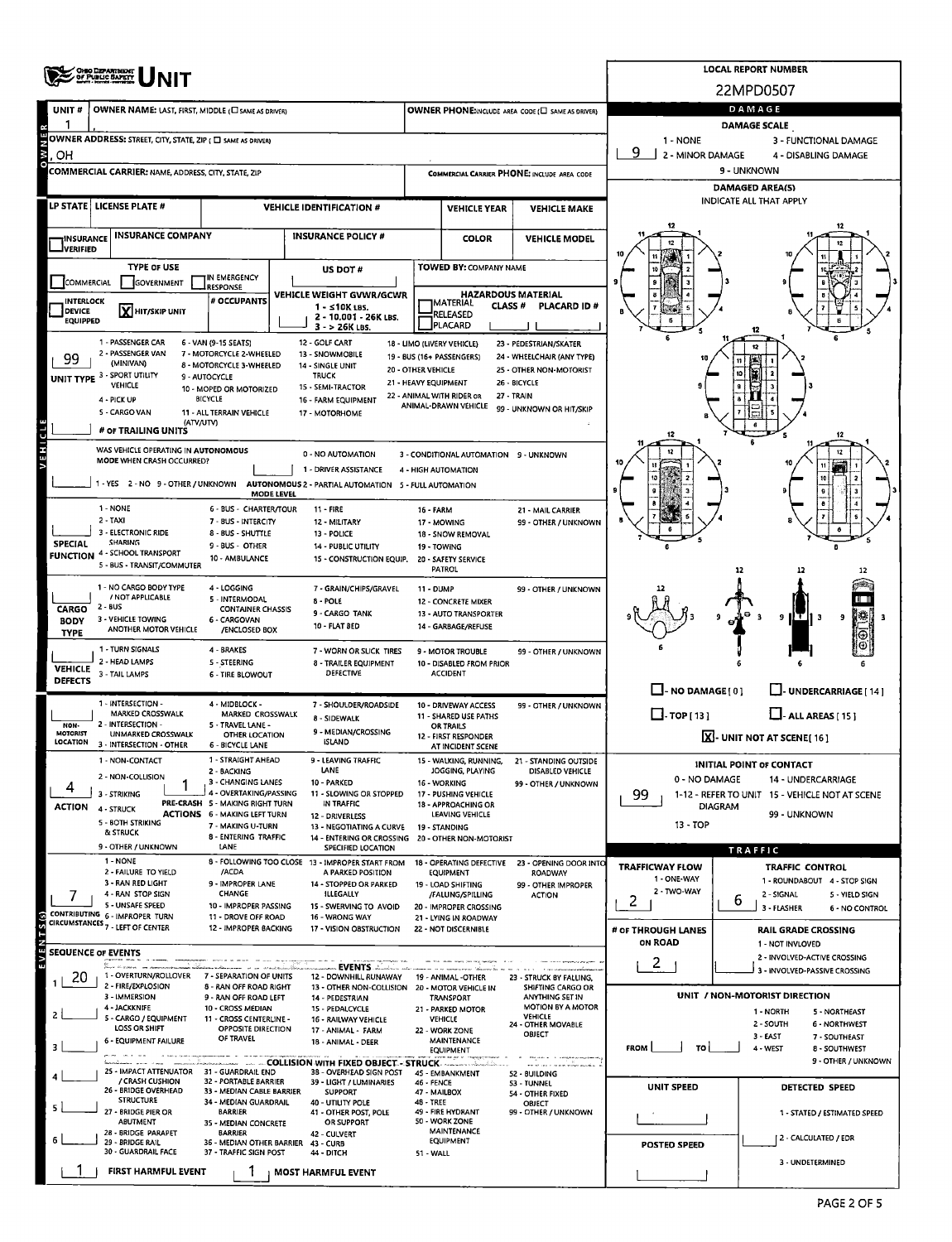|                                                                                                                                   | <b>CHIO DEPARTMENT</b><br>OF PUBLIC SAPETY                          |                                                                        | <b>LOCAL REPORT NUMBER</b>                                                    |                           |                                                                     |                                                                         |                                                      |                                                                 |  |  |  |  |
|-----------------------------------------------------------------------------------------------------------------------------------|---------------------------------------------------------------------|------------------------------------------------------------------------|-------------------------------------------------------------------------------|---------------------------|---------------------------------------------------------------------|-------------------------------------------------------------------------|------------------------------------------------------|-----------------------------------------------------------------|--|--|--|--|
|                                                                                                                                   |                                                                     |                                                                        |                                                                               |                           |                                                                     |                                                                         |                                                      | 22MPD0507                                                       |  |  |  |  |
| UNIT#                                                                                                                             | OWNER NAME: LAST, FIRST, MIDDLE (C) SAME AS DRIVER)                 |                                                                        |                                                                               |                           |                                                                     | OWNER PHONE:INCLUDE AREA CODE (E) SAME AS DRIVER)                       | DAMAGE<br><b>DAMAGE SCALE</b>                        |                                                                 |  |  |  |  |
|                                                                                                                                   | OWNER ADDRESS: STREET, CITY, STATE, ZIP ( $\square$ same as ORIVER) |                                                                        |                                                                               |                           |                                                                     |                                                                         | 1 - NONE                                             | 3 - FUNCTIONAL DAMAGE                                           |  |  |  |  |
| <b>NWO</b><br>OН                                                                                                                  | q<br>2 - MINOR DAMAGE<br>4 - DISABLING DAMAGE                       |                                                                        |                                                                               |                           |                                                                     |                                                                         |                                                      |                                                                 |  |  |  |  |
|                                                                                                                                   | <b>COMMERCIAL CARRIER: NAME, ADDRESS, CITY, STATE, ZIP</b>          |                                                                        |                                                                               |                           |                                                                     | COMMERCIAL CARRIER PHONE: INCLUDE AREA CODE                             |                                                      | 9 - UNKNOWN                                                     |  |  |  |  |
|                                                                                                                                   | LP STATE   LICENSE PLATE #                                          |                                                                        |                                                                               |                           |                                                                     |                                                                         |                                                      | DAMAGED AREA(S)<br><b>INDICATE ALL THAT APPLY</b>               |  |  |  |  |
|                                                                                                                                   |                                                                     |                                                                        | <b>VEHICLE IDENTIFICATION #</b>                                               |                           | <b>VEHICLE YEAR</b>                                                 | <b>VEHICLE MAKE</b>                                                     |                                                      |                                                                 |  |  |  |  |
| INSURANCE                                                                                                                         | <b>INSURANCE COMPANY</b>                                            |                                                                        | <b>INSURANCE POLICY #</b>                                                     |                           | <b>COLOR</b>                                                        | <b>VEHICLE MODEL</b>                                                    |                                                      |                                                                 |  |  |  |  |
| JVERIFIED                                                                                                                         | <b>TYPE OF USE</b>                                                  |                                                                        |                                                                               |                           | TOWED BY: COMPANY NAME                                              |                                                                         |                                                      |                                                                 |  |  |  |  |
| COMMERCIAL                                                                                                                        | GOVERNMENT                                                          | IN EMERGENCY<br><b>RESPONSE</b>                                        | US DOT#                                                                       |                           |                                                                     |                                                                         |                                                      |                                                                 |  |  |  |  |
| INTERLOCK                                                                                                                         |                                                                     | # OCCUPANTS                                                            | VEHICLE WEIGHT GVWR/GCWR<br>1 - ≤10K LBS.                                     |                           | <b>HAZARDOUS MATERIAL</b><br><b> MATERIAL</b><br>CLASS <sup>#</sup> | <b>PLACARD ID#</b>                                                      |                                                      |                                                                 |  |  |  |  |
| <b>DEVICE</b><br><b>EQUIPPED</b>                                                                                                  | X HIT/SKIP UNIT                                                     |                                                                        | 2 - 10,001 - 26K LBS.<br>$3 - 26K$ LBS.                                       |                           | RELEASED<br><b>PLACARD</b>                                          |                                                                         |                                                      |                                                                 |  |  |  |  |
|                                                                                                                                   | 1 - PASSENGER CAR                                                   | 6 - VAN (9-15 SEATS)                                                   | 12 - GOLF CART                                                                |                           | 18 - LIMO (LIVERY VEHICLE)                                          | 23 - PEDESTRIAN/SKATER                                                  |                                                      |                                                                 |  |  |  |  |
| 99                                                                                                                                | 2 - PASSENGER VAN<br>(MINIVAN)                                      | 7 - MOTORCYCLE 2-WHEELED<br>8 - MOTORCYCLE 3-WHEELED                   | 13 - SNOWMOBILE<br>14 - SINGLE UNIT                                           | <b>20 - OTHER VEHICLE</b> | 19 - BUS (16+ PASSENGERS)                                           | 24 - WHEELCHAIR (ANY TYPE)<br>25 - OTHER NON-MOTORIST                   |                                                      |                                                                 |  |  |  |  |
|                                                                                                                                   | UNIT TYPE 3 - SPORT UTILITY<br>VEHICLE                              | 9 - AUTOCYCLE<br>10 - MOPED OR MOTORIZED                               | <b>TRUCK</b><br>15 - SEMI-TRACTOR                                             | 21 - HEAVY EQUIPMENT      |                                                                     | 26 - BICYCLE                                                            |                                                      |                                                                 |  |  |  |  |
|                                                                                                                                   | 4 - PICK UP                                                         | <b>BICYCLE</b>                                                         | 16 - FARM EQUIPMENT                                                           |                           | 22 - ANIMAL WITH RIDER OR<br>ANIMAL-DRAWN VEHICLE                   | 27 - TRAIN<br>99 - UNKNOWN OR HIT/SKIP                                  |                                                      |                                                                 |  |  |  |  |
|                                                                                                                                   | 5 - CARGO VAN<br>(ATV/UTV)<br># OF TRAILING UNITS                   | 11 - ALL TERRAIN VEHICLE                                               | 17 - MOTORHOME                                                                |                           |                                                                     |                                                                         |                                                      |                                                                 |  |  |  |  |
| đ<br>Ξ                                                                                                                            | WAS VEHICLE OPERATING IN AUTONOMOUS                                 |                                                                        |                                                                               |                           |                                                                     |                                                                         |                                                      |                                                                 |  |  |  |  |
|                                                                                                                                   | MODE WHEN CRASH OCCURRED?                                           |                                                                        | 0 - NO AUTOMATION<br>1 DRIVER ASSISTANCE                                      |                           | 3 - CONDITIONAL AUTOMATION 9 - UNKNOWN<br>4 - HIGH AUTOMATION       |                                                                         |                                                      |                                                                 |  |  |  |  |
|                                                                                                                                   | 1 - YES 2 - NO 9 - OTHER / UNKNOWN                                  |                                                                        | AUTONOMOUS 2 - PARTIAL AUTOMATION 5 - FULL AUTOMATION                         |                           |                                                                     |                                                                         |                                                      |                                                                 |  |  |  |  |
|                                                                                                                                   | 1 - NONE                                                            | MODE LEVEL<br><b>6 - BUS - CHARTER/TOUR</b>                            | <b>11 - FIRE</b>                                                              | <b>16 - FARM</b>          |                                                                     | 21 - MAIL CARRIER                                                       |                                                      |                                                                 |  |  |  |  |
|                                                                                                                                   | 2 - TAXI<br>3 - ELECTRONIC RIDE                                     | 7 - BUS - INTERCITY<br>8 - BUS - SHUTTLE                               | 12 MILITARY                                                                   |                           | 17 - MOWING                                                         | 99 - OTHER / UNKNOWN                                                    |                                                      |                                                                 |  |  |  |  |
| 13 - POLICE<br><b>SHARING</b><br><b>SPECIAL</b><br>9 - BUS - OTHER<br>14 - PUBLIC UTILITY<br><b>FUNCTION 4 - SCHOOL TRANSPORT</b> |                                                                     |                                                                        |                                                                               |                           | 18 - SNOW REMOVAL<br>19 - TOWING                                    |                                                                         |                                                      |                                                                 |  |  |  |  |
|                                                                                                                                   | 5 - BUS - TRANSIT/COMMUTER                                          | 10 - AMBULANCE                                                         | 15 - CONSTRUCTION EQUIP.                                                      |                           | 20 - SAFETY SERVICE<br>PATROL                                       |                                                                         |                                                      | 12                                                              |  |  |  |  |
|                                                                                                                                   | 1 - NO CARGO BODY TYPE                                              | 4 - LOGGING                                                            | 7 - GRAIN/CHIPS/GRAVEL                                                        | <b>11 - DUMP</b>          |                                                                     | 99 - OTHER / UNKNOWN                                                    |                                                      |                                                                 |  |  |  |  |
| <b>CARGO</b>                                                                                                                      | / NOT APPLICABLE<br>2 - BUS                                         | 5 - INTERMODAL<br><b>CONTAINER CHASSIS</b>                             | 8 - POLE<br>9 - CARGO TANK                                                    |                           | <b>12 - CONCRETE MIXER</b><br>13 - AUTO TRANSPORTER                 |                                                                         |                                                      |                                                                 |  |  |  |  |
| <b>BODY</b><br><b>TYPE</b>                                                                                                        | 3 - VEHICLE TOWING<br>ANOTHER MOTOR VEHICLE                         | 6 - CARGOVAN<br>/ENCLOSED BOX                                          | 10 - FLAT BED                                                                 |                           | 14 - GARBAGE/REFUSE                                                 |                                                                         |                                                      | нт.<br>9                                                        |  |  |  |  |
|                                                                                                                                   | 1 - TURN SIGNALS                                                    | 4 - BRAKES                                                             | 7 - WORN OR SLICK TIRES                                                       |                           | 9 - MOTOR TROUBLE                                                   | 99 - OTHER / UNKNOWN                                                    |                                                      |                                                                 |  |  |  |  |
| <b>VEHICLE</b>                                                                                                                    | 2 - HEAD LAMPS<br>3 - TAIL LAMPS                                    | 5 - STEERING<br><b>6 - TIRE BLOWOUT</b>                                | 8 - TRAILER EQUIPMENT<br><b>DEFECTIVE</b>                                     |                           | 10 - DISABLED FROM PRIOR<br><b>ACCIDENT</b>                         |                                                                         |                                                      |                                                                 |  |  |  |  |
| <b>DEFECTS</b>                                                                                                                    |                                                                     |                                                                        |                                                                               |                           |                                                                     |                                                                         | $\Box$ -NO DAMAGE[0]                                 | LI-UNDERCARRIAGE [14]                                           |  |  |  |  |
|                                                                                                                                   | 1 - INTERSECTION -<br>MARKED CROSSWALK                              | 4 - MIDBLOCK -<br>MARKED CROSSWALK                                     | 7 - SHOULDER/ROADSIDE<br>8 - SIDEWALK                                         |                           | 10 - DRIVEWAY ACCESS<br>11 - SHARED USE PATHS                       | 99 - OTHER / UNKNOWN                                                    | $\Box$ -TOP[13]                                      | $L$ -ALL AREAS [15]                                             |  |  |  |  |
| NON-<br><b>MOTORIST</b>                                                                                                           | 2 - INTERSECTION -<br><b>UNMARKED CROSSWALK</b>                     | 5 - TRAVEL LANE -<br>OTHER LOCATION                                    | 9 - MEDIAN/CROSSING                                                           |                           | OR TRAILS<br>12 - FIRST RESPONDER                                   |                                                                         |                                                      | $\boxed{\mathbf{X}}$ - UNIT NOT AT SCENE[16]                    |  |  |  |  |
| LOCATION                                                                                                                          | 3 - INTERSECTION - OTHER                                            | 6 - BICYCLE LANE<br>1 - STRAIGHT AHEAD                                 | ISLAND<br>9 - LEAVING TRAFFIC                                                 |                           | AT INCIDENT SCENE                                                   |                                                                         |                                                      |                                                                 |  |  |  |  |
|                                                                                                                                   | 1 - NON-CONTACT<br>2 - NON-COLLISION                                | 2 - BACKING                                                            | LANE                                                                          |                           | JOGGING, PLAYING                                                    | 15 - WALKING, RUNNING. 21 - STANDING OUTSIDE<br><b>DISABLED VEHICLE</b> | 0 - NO DAMAGE                                        | <b>INITIAL POINT OF CONTACT</b><br>14 - UNDERCARRIAGE           |  |  |  |  |
|                                                                                                                                   | 3 - STRIKING                                                        | 3 - CHANGING LANES<br>4 - OVERTAKING/PASSING                           | 10 - PARKED<br>11 - SLOWING OR STOPPED                                        |                           | 16 - WORKING<br>17 - PUSHING VEHICLE                                | 99 - OTHER / UNKNOWN                                                    | 99<br>1-12 - REFER TO UNIT 15 - VEHICLE NOT AT SCENE |                                                                 |  |  |  |  |
| <b>ACTION</b>                                                                                                                     | 4 - STRUCK<br>5 - BOTH STRIKING                                     | PRE-CRASH 5 - MAKING RIGHT TURN<br><b>ACTIONS 6 - MAKING LEFT TURN</b> | IN TRAFFIC<br>12 - DRIVERLESS                                                 |                           | 18 - APPROACHING OR<br>LEAVING VEHICLE                              | <b>DIAGRAM</b><br>99 - UNKNOWN                                          |                                                      |                                                                 |  |  |  |  |
|                                                                                                                                   | & STRUCK                                                            | 7 - MAKING U-TURN<br>8 - ENTERING TRAFFIC                              | 13 - NEGOTIATING A CURVE<br>14 - ENTERING OR CROSSING                         |                           | 19 - STANDING<br>20 - OTHER NON-MOTORIST                            |                                                                         | 13 - TOP                                             |                                                                 |  |  |  |  |
|                                                                                                                                   | 9 - OTHER / UNKNOWN<br>1 - NONE                                     | LANE                                                                   | SPECIFIED LOCATION<br>8 - FOLLOWING TOO CLOSE 13 - IMPROPER START FROM        |                           | 18 - OPERATING DEFECTIVE                                            | 23 - OPENING DOOR INTO                                                  |                                                      | <b>TRAFFIC</b>                                                  |  |  |  |  |
|                                                                                                                                   | 2 - FAILURE TO YIELD<br>3 - RAN RED LIGHT                           | /ACDA<br>9 - IMPROPER LANE                                             | A PARKED POSITION                                                             |                           | EQUIPMENT                                                           | ROADWAY                                                                 | <b>TRAFFICWAY FLOW</b><br>1 - ONE-WAY                | <b>TRAFFIC CONTROL</b><br>1 - ROUNDABOUT 4 - STOP SIGN          |  |  |  |  |
|                                                                                                                                   | 4 - RAN STOP SIGN                                                   | CHANGE                                                                 | 14 - STOPPED OR PARKED<br>ILLEGALLY                                           |                           | 19 - LOAD SHIFTING<br>/FALLING/SPILLING                             | 99 - OTHER IMPROPER<br><b>ACTION</b>                                    | 2 - TWO-WAY<br>2                                     | 2 - SIGNAL<br>5 - YIELD SIGN<br>6                               |  |  |  |  |
|                                                                                                                                   | 5 - UNSAFE SPEED<br>CONTRIBUTING 6 - IMPROPER TURN                  | 10 - IMPROPER PASSING<br>11 - DROVE OFF ROAD                           | 15 - SWERVING TO AVOID<br>16 - WRONG WAY                                      |                           | 20 - IMPROPER CROSSING<br>21 - LYING IN ROADWAY                     |                                                                         |                                                      | 3 - FLASHER<br>6 - NO CONTROL                                   |  |  |  |  |
|                                                                                                                                   | CIRCUMSTANCES <sub>7</sub> - LEFT OF CENTER                         | 12 - IMPROPER BACKING                                                  | 17 - VISION OBSTRUCTION                                                       |                           | 22 - NOT DISCERNIBLE                                                |                                                                         | # OF THROUGH LANES<br>ON ROAD                        | <b>RAIL GRADE CROSSING</b><br>1 - NOT INVLOVED                  |  |  |  |  |
|                                                                                                                                   | <b>SEQUENCE OF EVENTS</b>                                           |                                                                        |                                                                               |                           |                                                                     |                                                                         | $\overline{2}$                                       | 2 - INVOLVED-ACTIVE CROSSING                                    |  |  |  |  |
| 20<br>$\mathbf{1}$                                                                                                                | ge<br>Sangur villagerenen 1994<br>1 - OVERTURN/ROLLOVER             | 7 - SEPARATION OF UNITS                                                | EVENTS<br>12 - DOWNHILL RUNAWAY                                               |                           | 19 - ANIMAL -OTHER                                                  | 23 - STRUCK BY FALLING.                                                 |                                                      | 3 - INVOLVED-PASSIVE CROSSING                                   |  |  |  |  |
|                                                                                                                                   | 2 - FIRE/EXPLOSION<br>3 - IMMERSION                                 | 8 - RAN OFF ROAD RIGHT<br>9 - RAN OFF ROAD LEFT                        | 13 - OTHER NON-COLLISION<br>14 - PEDESTRIAN                                   |                           | 20 - MOTOR VEHICLE IN<br>TRANSPORT                                  | SHIFTING CARGO OR<br>ANYTHING SET IN                                    |                                                      | UNIT / NON-MOTORIST DIRECTION                                   |  |  |  |  |
| $\overline{2}$                                                                                                                    | 4 - JACKKNIFE<br>5 - CARGO / EQUIPMENT                              | 10 - CROSS MEDIAN<br>11 - CROSS CENTERLINE -                           | 15 - PEDALCYCLE<br>16 - RAILWAY VEHICLE                                       |                           | 21 - PARKED MOTOR<br><b>VEHICLE</b>                                 | MOTION BY A MOTOR<br><b>VEHICLE</b><br>24 - OTHER MOVABLE               |                                                      | 1 - NORTH<br>5 - NORTHEAST<br>2 - SOUTH<br><b>6 - NORTHWEST</b> |  |  |  |  |
|                                                                                                                                   | <b>LOSS OR SHIFT</b><br><b>6 - EQUIPMENT FAILURE</b>                | OPPOSITE DIRECTION<br>OF TRAVEL                                        | 17 - ANIMAL - FARM<br>18 - ANIMAL - DEER                                      |                           | 22 - WORK ZONE<br>MAINTENANCE                                       | OBJECT                                                                  |                                                      | $3 - EAST$<br>7 - SOUTHEAST                                     |  |  |  |  |
| 3                                                                                                                                 | The change operations appear                                        | ina ana amin'ny fivondronan-                                           | - COLLISION WITH FIXED OBJECT - STRUCK - COLLISION WITH FIXED OBJECT - STRUCK |                           | EQUIPMENT                                                           | when and company company was                                            | <b>FROM</b><br>TO                                    | 4 - WEST<br>8 - SOUTHWEST<br>9 - OTHER / UNKNOWN                |  |  |  |  |
|                                                                                                                                   | 25 - IMPACT ATTENUATOR 31 - GUARDRAIL END<br>/ CRASH CUSHION        | 32 - PORTABLE BARRIER                                                  | 38 - OVERHEAD SIGN POST<br>39 - LIGHT / LUMINARIES                            | 46 - FENCE                | 45 - EMBANKMENT                                                     | 52 - BUILDING<br>53 - TUNNEL                                            |                                                      |                                                                 |  |  |  |  |
|                                                                                                                                   | 26 - BRIDGE OVERHEAD<br><b>STRUCTURE</b>                            | 33 - MEDIAN CABLE BARRIER<br>34 - MEDIAN GUARDRAIL                     | <b>SUPPORT</b><br>40 - UTILITY POLE                                           | 47 - MAILBOX<br>48 - TREE |                                                                     | 54 - OTHER FIXED<br>OBJECT                                              | <b>UNIT SPEED</b>                                    | DETECTED SPEED                                                  |  |  |  |  |
| 5                                                                                                                                 | 27 - BRIDGE PIER OR<br>ABUTMENT                                     | <b>BARRIER</b><br>35 - MEDIAN CONCRETE                                 | 41 - OTHER POST, POLE<br>OR SUPPORT                                           |                           | 49 - FIRE HYDRANT<br>50 - WORK ZONE                                 | 99 - OTHER / UNKNOWN                                                    |                                                      | 1 - STATED / ESTIMATED SPEED                                    |  |  |  |  |
| 6.                                                                                                                                | 28 - BRIDGE PARAPET<br>29 - BRIDGE RAIL                             | <b>BARRIER</b><br>36 - MEDIAN OTHER BARRIER                            | 42 - CULVERT<br>43 - CURB                                                     |                           | <b>MAINTENANCE</b><br>EQUIPMENT                                     |                                                                         | POSTED SPEED                                         | 2 - CALCULATED / EDR                                            |  |  |  |  |
|                                                                                                                                   | 30 - GUARDRAIL FACE                                                 | 37 - TRAFFIC SIGN POST                                                 | 44 - DITCH                                                                    | <b>51 - WALL</b>          |                                                                     |                                                                         |                                                      | 3 - UNDETERMINED                                                |  |  |  |  |
|                                                                                                                                   | FIRST HARMFUL EVENT                                                 | 1                                                                      | <b>MOST HARMFUL EVENT</b>                                                     |                           |                                                                     |                                                                         |                                                      |                                                                 |  |  |  |  |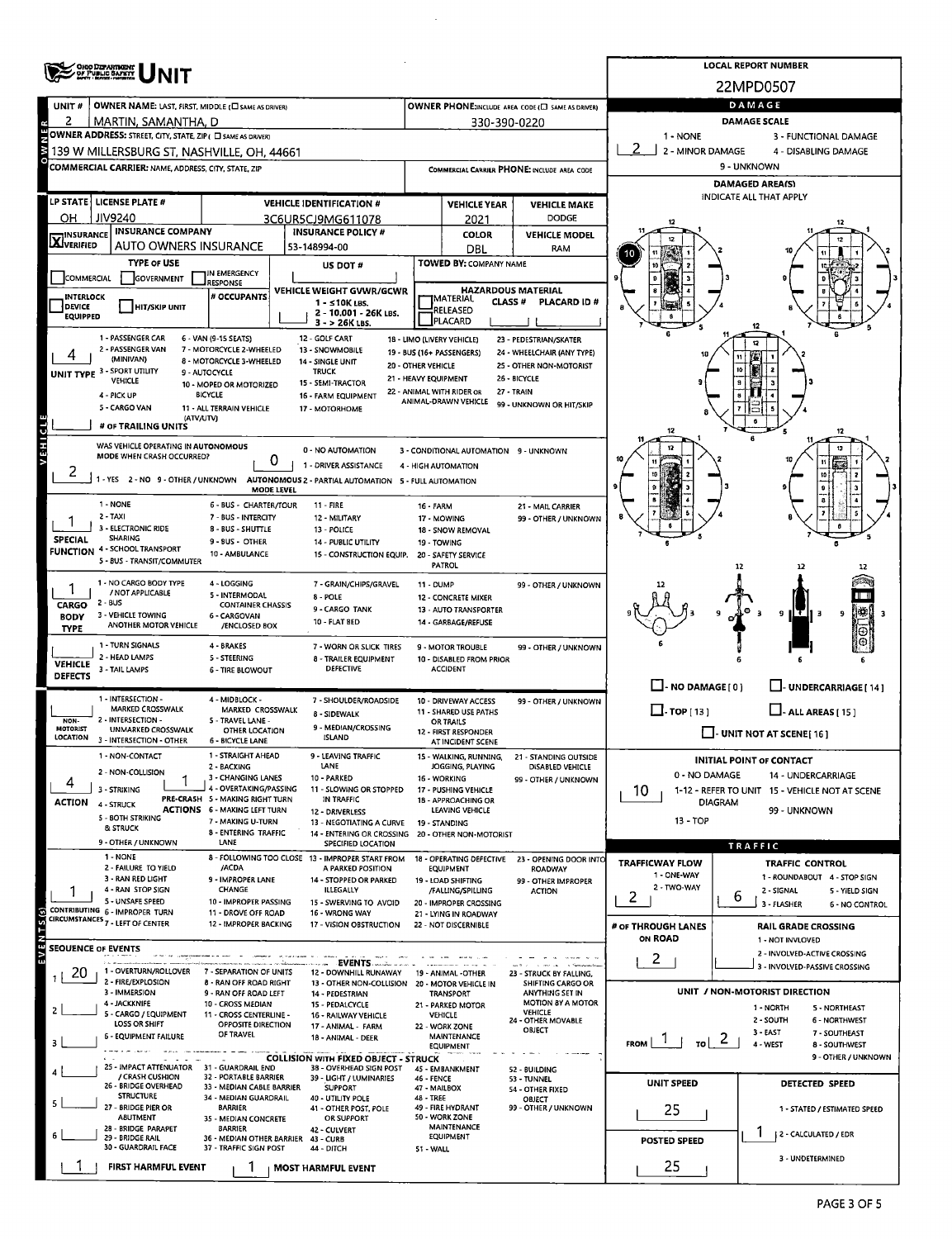|                                  | OHO DEPARTMENT                                                                                           |                                                               |            |                                                                         |                           |                                                   |                                                       |                          | <b>LOCAL REPORT NUMBER</b>                                       |  |  |  |  |  |
|----------------------------------|----------------------------------------------------------------------------------------------------------|---------------------------------------------------------------|------------|-------------------------------------------------------------------------|---------------------------|---------------------------------------------------|-------------------------------------------------------|--------------------------|------------------------------------------------------------------|--|--|--|--|--|
|                                  |                                                                                                          |                                                               |            |                                                                         |                           |                                                   |                                                       | 22MPD0507                |                                                                  |  |  |  |  |  |
| UNIT#                            | OWNER NAME: LAST, FIRST, MIDDLE (C) SAME AS DRIVER)                                                      |                                                               |            |                                                                         |                           |                                                   | OWNER PHONE; INCLUDE AREA CODE (L) SAME AS DRIVER)    |                          | DAMAGE                                                           |  |  |  |  |  |
| 2                                | MARTIN, SAMANTHA, D                                                                                      |                                                               |            |                                                                         |                           | 330-390-0220                                      |                                                       |                          | <b>DAMAGE SCALE</b>                                              |  |  |  |  |  |
|                                  | OWNER ADDRESS: STREET, CITY, STATE, ZIP ( O SAME AS DRIVER)                                              |                                                               |            |                                                                         |                           |                                                   |                                                       | 1 - NONE<br>2            | 3 - FUNCTIONAL DAMAGE                                            |  |  |  |  |  |
|                                  | 139 W MILLERSBURG ST, NASHVILLE, OH, 44661<br><b>COMMERCIAL CARRIER: NAME, ADDRESS, CITY, STATE, ZIP</b> |                                                               |            |                                                                         |                           |                                                   |                                                       | 2 - MINOR DAMAGE         | 4 - DISABLING DAMAGE<br>9 - UNKNOWN                              |  |  |  |  |  |
|                                  |                                                                                                          |                                                               |            |                                                                         |                           | COMMERCIAL CARRIER PHONE: INCLUDE AREA CODE       | <b>DAMAGED AREA(S)</b>                                |                          |                                                                  |  |  |  |  |  |
|                                  | LP STATE   LICENSE PLATE #                                                                               |                                                               |            | <b>VEHICLE IDENTIFICATION #</b>                                         |                           | <b>VEHICLE YEAR</b>                               | <b>VEHICLE MAKE</b>                                   |                          | INDICATE ALL THAT APPLY                                          |  |  |  |  |  |
| OН                               | <b>JIV9240</b>                                                                                           |                                                               |            | 3C6UR5CJ9MG611078                                                       | <b>DODGE</b><br>2021      |                                                   |                                                       |                          |                                                                  |  |  |  |  |  |
| <b>X</b> INSURANCE               | <b>INSURANCE COMPANY</b>                                                                                 |                                                               |            | <b>INSURANCE POLICY #</b>                                               |                           | <b>COLOR</b>                                      | <b>VEHICLE MODEL</b>                                  |                          |                                                                  |  |  |  |  |  |
|                                  | AUTO OWNERS INSURANCE                                                                                    |                                                               |            | 53-148994-00                                                            |                           | DBL                                               | <b>RAM</b>                                            | 10                       |                                                                  |  |  |  |  |  |
|                                  | <b>TYPE OF USE</b>                                                                                       | IN EMERGENCY                                                  |            | US DOT#                                                                 |                           | TOWED BY: COMPANY NAME                            |                                                       |                          |                                                                  |  |  |  |  |  |
| COMMERCIAL                       | GOVERNMENT                                                                                               | <b>RESPONSE</b>                                               |            | VEHICLE WEIGHT GVWR/GCWR                                                |                           |                                                   | <b>HAZARDOUS MATERIAL</b>                             |                          |                                                                  |  |  |  |  |  |
| <b>INTERLOCK</b><br>DEVICE       | <b>HIT/SKIP UNIT</b>                                                                                     | # OCCUPANTS                                                   |            | 1 - ≤10K LBS.<br>2 - 10.001 - 26K LBS.                                  |                           | MATERIAL<br>CLASS <sup>#</sup><br><b>RELEASED</b> | PLACARD ID#                                           |                          |                                                                  |  |  |  |  |  |
| <b>EQUIPPED</b>                  |                                                                                                          |                                                               |            | $3 - 26K$ LBS.                                                          |                           | PLACARD                                           |                                                       |                          |                                                                  |  |  |  |  |  |
|                                  | 1 - PASSENGER CAR<br>2 - PASSENGER VAN                                                                   | 6 - VAN (9-15 SEATS)<br>7 - MOTORCYCLE 2-WHEELED              |            | 12 - GOLF CART<br>13 - SNOWMOBILE                                       |                           | 18 - LIMO (LIVERY VEHICLE)                        | 23 - PEDESTRIAN/SKATER                                |                          | 12                                                               |  |  |  |  |  |
|                                  | (MINIVAN)                                                                                                | 8 - MOTORCYCLE 3-WHEELED                                      |            | 14 - SINGLE UNIT                                                        | 20 - OTHER VEHICLE        | 19 - BUS (16+ PASSENGERS)                         | 24 - WHEELCHAIR (ANY TYPE)<br>25 - OTHER NON-MOTORIST |                          |                                                                  |  |  |  |  |  |
|                                  | UNIT TYPE 3 - SPORT UTILITY<br>VEHICLE                                                                   | 9 - AUTOCYCLE<br>10 - MOPED OR MOTORIZED                      |            | <b>TRUCK</b><br>15 - SEMI-TRACTOR                                       | 21 - HEAVY EQUIPMENT      |                                                   | 26 - BICYCLE                                          |                          |                                                                  |  |  |  |  |  |
|                                  | 4 - PICK UP                                                                                              | <b>BICYCLE</b>                                                |            | 16 - FARM EQUIPMENT                                                     |                           | 22 - ANIMAL WITH RIDER OR<br>ANIMAL-DRAWN VEHICLE | 27 - TRAIN<br>99 - UNKNOWN OR HIT/SKIP                |                          |                                                                  |  |  |  |  |  |
|                                  | 5 - CARGO VAN<br>(ATV/UTV)                                                                               | 11 - ALL TERRAIN VEHICLE                                      |            | 17 - MOTORHOME                                                          |                           |                                                   |                                                       |                          |                                                                  |  |  |  |  |  |
|                                  | # OF TRAILING UNITS                                                                                      |                                                               |            |                                                                         |                           |                                                   |                                                       | 12                       | 12                                                               |  |  |  |  |  |
|                                  | WAS VEHICLE OPERATING IN AUTONOMOUS<br>MODE WHEN CRASH OCCURRED?                                         |                                                               |            | 0 - NO AUTOMATION                                                       |                           | 3 - CONDITIONAL AUTOMATION 9 - UNKNOWN            |                                                       |                          |                                                                  |  |  |  |  |  |
| 2                                |                                                                                                          |                                                               | 0          | 1 - DRIVER ASSISTANCE                                                   |                           | 4 - HIGH AUTOMATION                               |                                                       |                          |                                                                  |  |  |  |  |  |
|                                  | 1 - YES 2 - NO 9 - OTHER / UNKNOWN AUTONOMOUS 2 - PARTIAL AUTOMATION 5 - FULL AUTOMATION                 |                                                               | MODE LEVEL |                                                                         |                           |                                                   |                                                       |                          |                                                                  |  |  |  |  |  |
|                                  | 1 - NONE                                                                                                 | 6 - BUS - CHARTER/TOUR                                        |            | 11 - FIRE                                                               | 16 FARM                   |                                                   | 21 - MAIL CARRIER                                     |                          |                                                                  |  |  |  |  |  |
|                                  | $2 - TAXI$<br>3 - ELECTRONIC RIDE                                                                        | 7 - BUS - INTERCITY<br>8 - BUS - SHUTTLE                      |            | 12 - MILITARY<br>13 - POLICE                                            |                           | 17 - MOWING<br>18 - SNOW REMOVAL                  | 99 - OTHER / UNKNOWN                                  |                          |                                                                  |  |  |  |  |  |
| <b>SPECIAL</b>                   | <b>SHARING</b><br><b>FUNCTION 4 - SCHOOL TRANSPORT</b>                                                   | 9 - BUS - OTHER                                               |            | 14 - PUBLIC UTILITY                                                     | 19 - TOWING               |                                                   |                                                       |                          |                                                                  |  |  |  |  |  |
|                                  | 5 - BUS - TRANSIT/COMMUTER                                                                               | 10 - AMBULANCE                                                |            | 15 - CONSTRUCTION EQUIP.                                                |                           | 20 - SAFETY SERVICE<br>PATROL                     |                                                       |                          | 12                                                               |  |  |  |  |  |
|                                  | 1 - NO CARGO BODY TYPE                                                                                   | 4 - LOGGING                                                   |            | 7 - GRAIN/CHIPS/GRAVEL                                                  | <b>11 - DUMP</b>          |                                                   | 99 - OTHER / UNKNOWN                                  |                          |                                                                  |  |  |  |  |  |
| 1<br><b>CARGO</b>                | / NOT APPLICABLE<br>$2 - BUS$                                                                            | 5 - INTERMODAL                                                |            | 8 - POLE                                                                |                           | 12 - CONCRETE MIXER                               |                                                       |                          |                                                                  |  |  |  |  |  |
| <b>BODY</b>                      | 3 - VEHICLE TOWING                                                                                       | <b>CONTAINER CHASSIS</b><br>6 - CARGOVAN                      |            | 9 - CARGO TANK<br>10 - FLAT BED                                         |                           | 13 - AUTO TRANSPORTER<br>14 - GARBAGE/REFUSE      |                                                       |                          | в<br>९ ॥ र ॥<br>9<br>- 3                                         |  |  |  |  |  |
| <b>TYPE</b>                      | ANOTHER MOTOR VEHICLE                                                                                    | /ENCLOSED BOX                                                 |            |                                                                         |                           |                                                   |                                                       |                          |                                                                  |  |  |  |  |  |
|                                  | 1 - TURN SIGNALS<br>2 - HEAD LAMPS                                                                       | 4 - BRAKES<br>5 - STEERING                                    |            | 7 - WORN OR SLICK TIRES<br>8 - TRAILER EQUIPMENT                        |                           | 9 - MOTOR TROUBLE<br>10 - DISABLED FROM PRIOR     | 99 - OTHER / UNKNOWN                                  |                          |                                                                  |  |  |  |  |  |
| <b>VEHICLE</b><br><b>DEFECTS</b> | 3 - TAIL LAMPS                                                                                           | <b>6 - TIRE BLOWOUT</b>                                       |            | <b>DEFECTIVE</b>                                                        |                           | <b>ACCIDENT</b>                                   |                                                       |                          |                                                                  |  |  |  |  |  |
|                                  |                                                                                                          |                                                               |            |                                                                         |                           |                                                   |                                                       | $\Box$ - NO DAMAGE [ 0 ] | U-UNDERCARRIAGE [14]                                             |  |  |  |  |  |
|                                  | 1 - INTERSECTION -<br>MARKED CROSSWALK                                                                   | 4 - MIDBLOCK -<br>MARKED CROSSWALK                            |            | 7 - SHOULDER/ROADSIDE<br>8 - SIDEWALK                                   |                           | 10 - DRIVEWAY ACCESS<br>11 - SHARED USE PATHS     | 99 - OTHER / UNKNOWN                                  | $\Box$ -TOP [13]         | $\Box$ - ALL AREAS [ 15 ]                                        |  |  |  |  |  |
| NON-<br><b>MOTORIST</b>          | 2 - INTERSECTION -<br>UNMARKED CROSSWALK                                                                 | 5 - TRAVEL LANE -<br>OTHER LOCATION                           |            | 9 - MEDIAN/CROSSING                                                     |                           | OR TRAILS<br>12 - FIRST RESPONDER                 |                                                       |                          | $\Box$ - UNIT NOT AT SCENE[16]                                   |  |  |  |  |  |
| LOCATION                         | 3 - INTERSECTION - OTHER                                                                                 | <b>6 - BICYCLE LANE</b>                                       |            | <b>ISLAND</b>                                                           |                           | AT INCIDENT SCENE                                 |                                                       |                          |                                                                  |  |  |  |  |  |
|                                  | 1 - NON-CONTACT                                                                                          | 1 - STRAIGHT AHEAD<br>2 - BACKING                             |            | 9 - LEAVING TRAFFIC<br><b>LANE</b>                                      |                           | 15 - WALKING, RUNNING,<br>JOGGING, PLAYING        | 21 - STANDING OUTSIDE<br>DISABLED VEHICLE             |                          | <b>INITIAL POINT OF CONTACT</b>                                  |  |  |  |  |  |
| 4                                | 2 - NON-COLLISION                                                                                        | 3 - CHANGING LANES<br>4 - OVERTAKING/PASSING                  |            | 10 - PARKED<br>11 - SLOWING OR STOPPED                                  |                           | 16 - WORKING                                      | 99 - OTHER / UNKNOWN                                  | 0 - NO DAMAGE            | 14 - UNDERCARRIAGE                                               |  |  |  |  |  |
| <b>ACTION</b>                    | 3 - STRIKING<br>4 - STRUCK                                                                               | PRE-CRASH 5 - MAKING RIGHT TURN                               |            | IN TRAFFIC                                                              |                           | 17 - PUSHING VEHICLE<br>18 - APPROACHING OR       |                                                       | 10.                      | 1-12 - REFER TO UNIT 15 - VEHICLE NOT AT SCENE<br><b>DIAGRAM</b> |  |  |  |  |  |
|                                  | 5 - BOTH STRIKING                                                                                        | <b>ACTIONS 6 - MAKING LEFT TURN</b><br>7 - MAKING U-TURN      |            | 12 - DRIVERLESS<br>13 - NEGOTIATING A CURVE                             |                           | LEAVING VEHICLE<br>19 - STANDING                  |                                                       | 13 - TOP                 | 99 - UNKNOWN                                                     |  |  |  |  |  |
|                                  | & STRUCK<br>9 - OTHER / UNKNOWN                                                                          | 8 - ENTERING TRAFFIC<br><b>LANE</b>                           |            | 14 - ENTERING OR CROSSING 20 - OTHER NON-MOTORIST<br>SPECIFIED LOCATION |                           |                                                   |                                                       |                          |                                                                  |  |  |  |  |  |
|                                  | 1 - NONE                                                                                                 |                                                               |            | 8 - FOLLOWING TOO CLOSE 13 - IMPROPER START FROM                        |                           |                                                   | 18 - OPERATING DEFECTIVE 23 - OPENING DOOR INTO       | <b>TRAFFICWAY FLOW</b>   | <b>TRAFFIC</b>                                                   |  |  |  |  |  |
|                                  | 2 - FAILURE TO YIELD<br>3 RAN RED LIGHT                                                                  | /ACDA<br>9 - IMPROPER LANE                                    |            | A PARKED POSITION<br>14 - STOPPED OR PARKED                             |                           | <b>EQUIPMENT</b><br>19 - LOAD SHIFTING            | ROADWAY<br>99 - OTHER IMPROPER                        | 1 - ONE-WAY              | <b>TRAFFIC CONTROL</b><br>1 - ROUNDABOUT 4 - STOP SIGN           |  |  |  |  |  |
|                                  | 4 - RAN STOP SIGN                                                                                        | <b>CHANGE</b>                                                 |            | ILLEGALLY                                                               |                           | /FALLING/SPILLING                                 | <b>ACTION</b>                                         | 2 - TWO-WAY<br>2         | 2 - SIGNAL<br>5 - YIELD SIGN<br>6                                |  |  |  |  |  |
|                                  | 5 - UNSAFE SPEED<br>CONTRIBUTING 6 - IMPROPER TURN                                                       | 10 - IMPROPER PASSING<br>11 - DROVE OFF ROAD                  |            | 15 - SWERVING TO AVOID<br>16 - WRONG WAY                                |                           | 20 - IMPROPER CROSSING<br>21 - LYING IN ROADWAY   |                                                       |                          | 3 - FLASHER<br><b>6 - NO CONTROL</b>                             |  |  |  |  |  |
|                                  | CIRCUMSTANCES 7 - LEFT OF CENTER                                                                         | 12 - IMPROPER BACKING                                         |            | 17 - VISION OBSTRUCTION                                                 |                           | 22 - NOT DISCERNIBLE                              |                                                       | # OF THROUGH LANES       | <b>RAIL GRADE CROSSING</b>                                       |  |  |  |  |  |
| <b>SEQUENCE OF EVENTS</b>        |                                                                                                          |                                                               |            |                                                                         |                           |                                                   |                                                       | ON ROAD                  | 1 - NOT INVLOVED<br>2 - INVOLVED-ACTIVE CROSSING                 |  |  |  |  |  |
| 20                               | 1 - OVERTURN/ROLLOVER                                                                                    | 7 - SEPARATION OF UNITS                                       |            | 12 - DOWNHILL RUNAWAY                                                   |                           | 19 ANIMAL OTHER                                   |                                                       | 2                        | 3 - INVOLVED-PASSIVE CROSSING                                    |  |  |  |  |  |
|                                  | 2 - FIRE/EXPLOSION                                                                                       | 8 - RAN OFF ROAD RIGHT                                        |            | 13 - OTHER NON-COLLISION 20 - MOTOR VEHICLE IN                          |                           |                                                   | 23 - STRUCK BY FALLING,<br>SHIFTING CARGO OR          |                          | UNIT / NON-MOTORIST DIRECTION                                    |  |  |  |  |  |
|                                  | 3 - IMMERSION<br>4 - JACKKNIFE                                                                           | 9 - RAN OFF ROAD LEFT<br>10 - CROSS MEDIAN                    |            | 14 - PEDESTRIAN<br>15 - PEDALCYCLE                                      |                           | <b>TRANSPORT</b><br>21 - PARKED MOTOR             | ANYTHING SET IN<br>MOTION BY A MOTOR                  |                          | 1 - NORTH<br><b>5 - NORTHEAST</b>                                |  |  |  |  |  |
| 2                                | 5 - CARGO / EQUIPMENT<br>LOSS OR SHIFT                                                                   | 11 - CROSS CENTERLINE -<br><b>OPPOSITE DIRECTION</b>          |            | 16 - RAILWAY VEHICLE<br>17 - ANIMAL - FARM                              |                           | <b>VEHICLE</b><br>22 - WORK ZONE                  | VEHICLE<br>24 - OTHER MOVABLE                         |                          | 2 - SOUTH<br>6 - NORTHWEST                                       |  |  |  |  |  |
|                                  | 6 - EQUIPMENT FAILURE                                                                                    | OF TRAVEL                                                     |            | 18 - ANIMAL - DEER                                                      |                           | MAINTENANCE                                       | OBJECT                                                | <b>FROM</b><br>τo I      | $3 - EAST$<br>7 - SOUTHEAST<br>2<br>4 - WEST<br>8 - SOUTHWEST    |  |  |  |  |  |
|                                  |                                                                                                          |                                                               |            | <b>COLLISION WITH FIXED OBJECT - STRUCK</b>                             |                           | <b>EQUIPMENT</b>                                  |                                                       |                          | 9 - OTHER / UNKNOWN                                              |  |  |  |  |  |
|                                  | 25 - IMPACT ATTENUATOR 31 - GUARDRAIL END<br>/ CRASH CUSHION                                             | 32 - PORTABLE BARRIER                                         |            | 38 - OVERHEAD SIGN POST<br>39 - LIGHT / LUMINARIES                      | 46 - FENCE                | 45 - EMBANKMENT                                   | <b>S2 - BUILDING</b><br>53 - TUNNEL                   |                          |                                                                  |  |  |  |  |  |
|                                  | 26 - BRIDGE OVERHEAD<br><b>STRUCTURE</b>                                                                 | 33 - MEDIAN CABLE BARRIER<br>34 - MEDIAN GUARDRAIL            |            | <b>SUPPORT</b><br>40 - UTILITY POLE                                     | 47 - MAILBOX<br>48 - TREE |                                                   | 54 - OTHER FIXED<br>OBJECT                            | UNIT SPEED               | DETECTED SPEED                                                   |  |  |  |  |  |
|                                  | 27 - BRIDGE PIER OR<br><b>ABUTMENT</b>                                                                   | <b>BARRIER</b>                                                |            | 41 - OTHER POST, POLE<br>OR SUPPORT                                     |                           | 49 - FIRE HYDRANT<br>50 - WORK ZONE               | 99 - OTHER / UNKNOWN                                  | 25                       | 1 - STATED / ESTIMATED SPEED                                     |  |  |  |  |  |
|                                  | 28 - BRIDGE PARAPET                                                                                      | 35 - MEDIAN CONCRETE<br><b>BARRIER</b>                        |            | 42 - CULVERT                                                            |                           | <b>MAINTENANCE</b>                                |                                                       |                          | 1<br>  2 - CALCULATED / EDR                                      |  |  |  |  |  |
|                                  | 29 - BRIDGE RAIL<br>30 - GUARDRAIL FACE                                                                  | 36 - MEDIAN OTHER BARRIER 43 - CURB<br>37 - TRAFFIC SIGN POST |            | 44 - DITCH                                                              | 51 WALL                   | <b>EQUIPMENT</b>                                  |                                                       | POSTED SPEED             |                                                                  |  |  |  |  |  |
|                                  | FIRST HARMFUL EVENT                                                                                      | 1                                                             |            | <b>MOST HARMFUL EVENT</b>                                               |                           |                                                   |                                                       | 25                       | 3 - UNDETERMINED                                                 |  |  |  |  |  |
|                                  |                                                                                                          |                                                               |            |                                                                         |                           |                                                   |                                                       |                          |                                                                  |  |  |  |  |  |

 $\hat{\mathcal{A}}$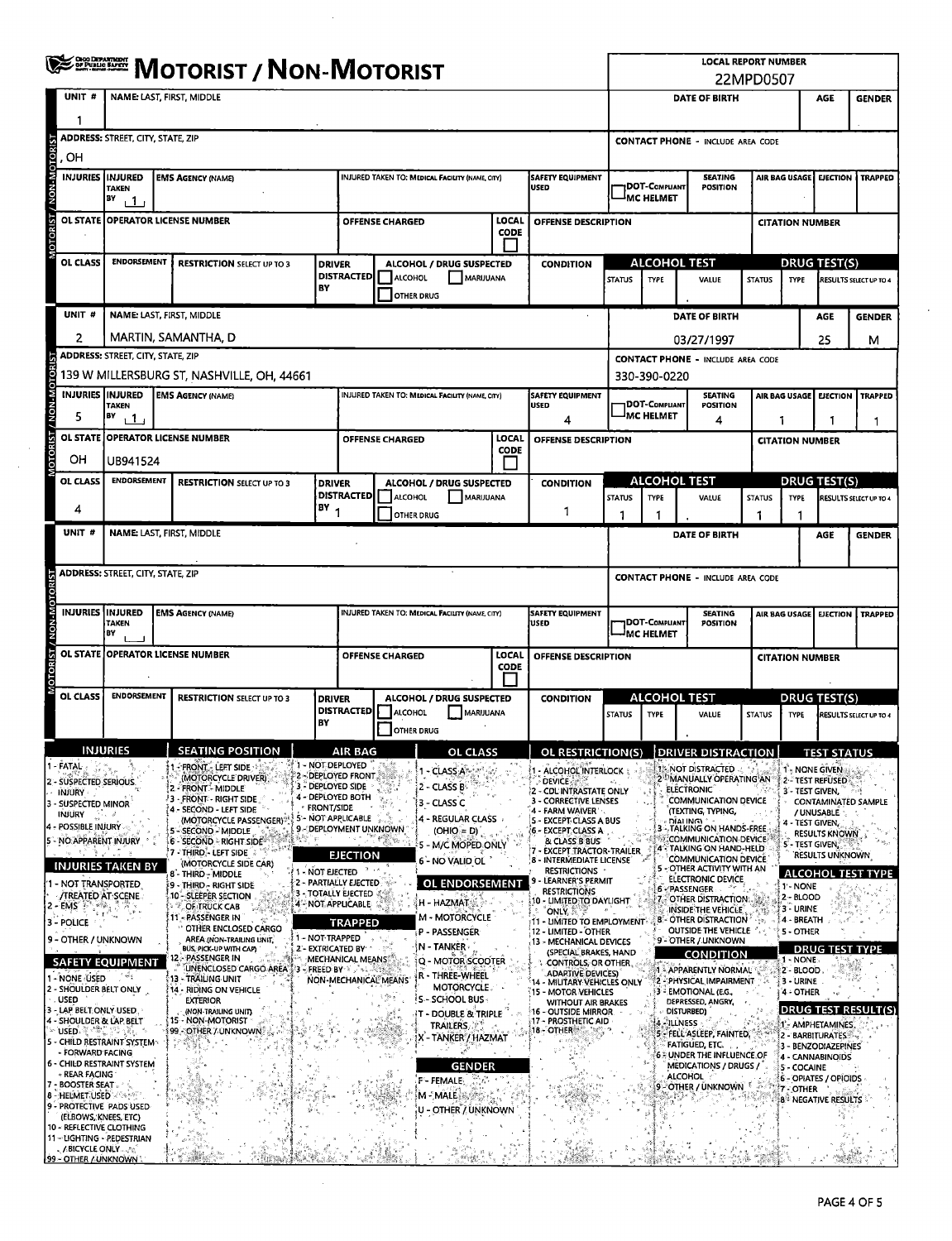| <b>WE BE MOTORIST / NON-MOTORIST</b> |                                                                                                                                                                                                                                                                                                                                                                                                                                                                                       |                                                                                                                                      |                                                                                                                                                                                                                                                                                                                                                                                                                                                                                                                                                                                                                                                          |                                                    |                                                                                                                                                                                                                                                                                                                   |                        |                                                                                                                                                                                                                                                                                                                                                                                                                                                         |                      |                                                                                                                                                                                                                                                                                                                                                                                                                                                                                                                                                                                                                                                                            | <b>LOCAL REPORT NUMBER</b><br>22MPD0507 |                                                            |                                                                                                                                                                                                                                                                                                                                                                                                                                                                                                                                                                                                                                                                                                                                                      |                                                              |                                                                                                                                                                                                                                                             |                                                                                                                                                                                                                                     |                                                                                      |  |  |  |  |  |
|--------------------------------------|---------------------------------------------------------------------------------------------------------------------------------------------------------------------------------------------------------------------------------------------------------------------------------------------------------------------------------------------------------------------------------------------------------------------------------------------------------------------------------------|--------------------------------------------------------------------------------------------------------------------------------------|----------------------------------------------------------------------------------------------------------------------------------------------------------------------------------------------------------------------------------------------------------------------------------------------------------------------------------------------------------------------------------------------------------------------------------------------------------------------------------------------------------------------------------------------------------------------------------------------------------------------------------------------------------|----------------------------------------------------|-------------------------------------------------------------------------------------------------------------------------------------------------------------------------------------------------------------------------------------------------------------------------------------------------------------------|------------------------|---------------------------------------------------------------------------------------------------------------------------------------------------------------------------------------------------------------------------------------------------------------------------------------------------------------------------------------------------------------------------------------------------------------------------------------------------------|----------------------|----------------------------------------------------------------------------------------------------------------------------------------------------------------------------------------------------------------------------------------------------------------------------------------------------------------------------------------------------------------------------------------------------------------------------------------------------------------------------------------------------------------------------------------------------------------------------------------------------------------------------------------------------------------------------|-----------------------------------------|------------------------------------------------------------|------------------------------------------------------------------------------------------------------------------------------------------------------------------------------------------------------------------------------------------------------------------------------------------------------------------------------------------------------------------------------------------------------------------------------------------------------------------------------------------------------------------------------------------------------------------------------------------------------------------------------------------------------------------------------------------------------------------------------------------------------|--------------------------------------------------------------|-------------------------------------------------------------------------------------------------------------------------------------------------------------------------------------------------------------------------------------------------------------|-------------------------------------------------------------------------------------------------------------------------------------------------------------------------------------------------------------------------------------|--------------------------------------------------------------------------------------|--|--|--|--|--|
|                                      | UNIT#                                                                                                                                                                                                                                                                                                                                                                                                                                                                                 | <b>NAME: LAST, FIRST, MIDDLE</b>                                                                                                     |                                                                                                                                                                                                                                                                                                                                                                                                                                                                                                                                                                                                                                                          |                                                    |                                                                                                                                                                                                                                                                                                                   |                        |                                                                                                                                                                                                                                                                                                                                                                                                                                                         |                      |                                                                                                                                                                                                                                                                                                                                                                                                                                                                                                                                                                                                                                                                            |                                         |                                                            | <b>DATE OF BIRTH</b>                                                                                                                                                                                                                                                                                                                                                                                                                                                                                                                                                                                                                                                                                                                                 |                                                              | <b>AGE</b><br><b>GENDER</b>                                                                                                                                                                                                                                 |                                                                                                                                                                                                                                     |                                                                                      |  |  |  |  |  |
|                                      |                                                                                                                                                                                                                                                                                                                                                                                                                                                                                       |                                                                                                                                      |                                                                                                                                                                                                                                                                                                                                                                                                                                                                                                                                                                                                                                                          |                                                    |                                                                                                                                                                                                                                                                                                                   |                        |                                                                                                                                                                                                                                                                                                                                                                                                                                                         |                      |                                                                                                                                                                                                                                                                                                                                                                                                                                                                                                                                                                                                                                                                            |                                         |                                                            |                                                                                                                                                                                                                                                                                                                                                                                                                                                                                                                                                                                                                                                                                                                                                      |                                                              |                                                                                                                                                                                                                                                             |                                                                                                                                                                                                                                     |                                                                                      |  |  |  |  |  |
| <b>OTOR</b>                          | . OH                                                                                                                                                                                                                                                                                                                                                                                                                                                                                  | <b>ADDRESS: STREET, CITY, STATE, ZIP</b>                                                                                             |                                                                                                                                                                                                                                                                                                                                                                                                                                                                                                                                                                                                                                                          |                                                    |                                                                                                                                                                                                                                                                                                                   |                        |                                                                                                                                                                                                                                                                                                                                                                                                                                                         |                      |                                                                                                                                                                                                                                                                                                                                                                                                                                                                                                                                                                                                                                                                            |                                         | <b>CONTACT PHONE - INCLUDE AREA CODE</b>                   |                                                                                                                                                                                                                                                                                                                                                                                                                                                                                                                                                                                                                                                                                                                                                      |                                                              |                                                                                                                                                                                                                                                             |                                                                                                                                                                                                                                     |                                                                                      |  |  |  |  |  |
| / NON-                               | <b>INJURIES IINJURED</b>                                                                                                                                                                                                                                                                                                                                                                                                                                                              | <b>TAKEN</b><br>BY<br>் 1                                                                                                            | <b>EMS AGENCY (NAME)</b>                                                                                                                                                                                                                                                                                                                                                                                                                                                                                                                                                                                                                                 |                                                    |                                                                                                                                                                                                                                                                                                                   |                        | INJURED TAKEN TO: MEDICAL FACILITY (NAME, CITY)                                                                                                                                                                                                                                                                                                                                                                                                         |                      | <b>SAFETY EQUIPMENT</b><br><b>USED</b>                                                                                                                                                                                                                                                                                                                                                                                                                                                                                                                                                                                                                                     |                                         | DOT-Compuant<br><b>IMC HELMET</b>                          | <b>SEATING</b><br>POSITION                                                                                                                                                                                                                                                                                                                                                                                                                                                                                                                                                                                                                                                                                                                           | AIR BAG USAGE                                                |                                                                                                                                                                                                                                                             | <b>EJECTION</b>                                                                                                                                                                                                                     | <b>TRAPPED</b>                                                                       |  |  |  |  |  |
| <b>DTORIST</b>                       |                                                                                                                                                                                                                                                                                                                                                                                                                                                                                       |                                                                                                                                      | OL STATE OPERATOR LICENSE NUMBER                                                                                                                                                                                                                                                                                                                                                                                                                                                                                                                                                                                                                         |                                                    |                                                                                                                                                                                                                                                                                                                   | <b>OFFENSE CHARGED</b> |                                                                                                                                                                                                                                                                                                                                                                                                                                                         | LOCAL<br>CODE        | OFFENSE DESCRIPTION                                                                                                                                                                                                                                                                                                                                                                                                                                                                                                                                                                                                                                                        |                                         |                                                            |                                                                                                                                                                                                                                                                                                                                                                                                                                                                                                                                                                                                                                                                                                                                                      |                                                              | <b>CITATION NUMBER</b>                                                                                                                                                                                                                                      |                                                                                                                                                                                                                                     |                                                                                      |  |  |  |  |  |
|                                      |                                                                                                                                                                                                                                                                                                                                                                                                                                                                                       |                                                                                                                                      |                                                                                                                                                                                                                                                                                                                                                                                                                                                                                                                                                                                                                                                          |                                                    |                                                                                                                                                                                                                                                                                                                   |                        |                                                                                                                                                                                                                                                                                                                                                                                                                                                         |                      |                                                                                                                                                                                                                                                                                                                                                                                                                                                                                                                                                                                                                                                                            |                                         |                                                            |                                                                                                                                                                                                                                                                                                                                                                                                                                                                                                                                                                                                                                                                                                                                                      |                                                              |                                                                                                                                                                                                                                                             |                                                                                                                                                                                                                                     |                                                                                      |  |  |  |  |  |
|                                      | OL CLASS                                                                                                                                                                                                                                                                                                                                                                                                                                                                              | <b>ENDORSEMENT</b>                                                                                                                   | <b>RESTRICTION SELECT UP TO 3</b>                                                                                                                                                                                                                                                                                                                                                                                                                                                                                                                                                                                                                        | <b>DRIVER</b>                                      | <b>DISTRACTED</b>                                                                                                                                                                                                                                                                                                 | <b>ALCOHOL</b>         | ALCOHOL / DRUG SUSPECTED<br><b>MARUUANA</b>                                                                                                                                                                                                                                                                                                                                                                                                             |                      | <b>CONDITION</b>                                                                                                                                                                                                                                                                                                                                                                                                                                                                                                                                                                                                                                                           | <b>STATUS</b>                           | <b>ALCOHOL TEST</b><br><b>TYPE</b>                         | <b>STATUS</b>                                                                                                                                                                                                                                                                                                                                                                                                                                                                                                                                                                                                                                                                                                                                        | <b>DRUG TEST(S)</b><br><b>TYPE</b><br>RESULTS SELECT UP TO 4 |                                                                                                                                                                                                                                                             |                                                                                                                                                                                                                                     |                                                                                      |  |  |  |  |  |
|                                      |                                                                                                                                                                                                                                                                                                                                                                                                                                                                                       |                                                                                                                                      |                                                                                                                                                                                                                                                                                                                                                                                                                                                                                                                                                                                                                                                          | BY                                                 |                                                                                                                                                                                                                                                                                                                   | <b>OTHER DRUG</b>      |                                                                                                                                                                                                                                                                                                                                                                                                                                                         |                      |                                                                                                                                                                                                                                                                                                                                                                                                                                                                                                                                                                                                                                                                            |                                         |                                                            |                                                                                                                                                                                                                                                                                                                                                                                                                                                                                                                                                                                                                                                                                                                                                      |                                                              |                                                                                                                                                                                                                                                             |                                                                                                                                                                                                                                     |                                                                                      |  |  |  |  |  |
|                                      | UNIT#                                                                                                                                                                                                                                                                                                                                                                                                                                                                                 |                                                                                                                                      | NAME: LAST, FIRST, MIDDLE                                                                                                                                                                                                                                                                                                                                                                                                                                                                                                                                                                                                                                |                                                    |                                                                                                                                                                                                                                                                                                                   |                        |                                                                                                                                                                                                                                                                                                                                                                                                                                                         |                      |                                                                                                                                                                                                                                                                                                                                                                                                                                                                                                                                                                                                                                                                            |                                         |                                                            | <b>DATE OF BIRTH</b>                                                                                                                                                                                                                                                                                                                                                                                                                                                                                                                                                                                                                                                                                                                                 |                                                              |                                                                                                                                                                                                                                                             | AGE                                                                                                                                                                                                                                 | <b>GENDER</b>                                                                        |  |  |  |  |  |
|                                      | 2                                                                                                                                                                                                                                                                                                                                                                                                                                                                                     | <b>ADDRESS: STREET, CITY, STATE, ZIP</b>                                                                                             | MARTIN, SAMANTHA, D                                                                                                                                                                                                                                                                                                                                                                                                                                                                                                                                                                                                                                      |                                                    |                                                                                                                                                                                                                                                                                                                   |                        |                                                                                                                                                                                                                                                                                                                                                                                                                                                         |                      |                                                                                                                                                                                                                                                                                                                                                                                                                                                                                                                                                                                                                                                                            |                                         |                                                            | 03/27/1997<br><b>CONTACT PHONE - INCLUDE AREA CODE</b>                                                                                                                                                                                                                                                                                                                                                                                                                                                                                                                                                                                                                                                                                               |                                                              |                                                                                                                                                                                                                                                             | 25                                                                                                                                                                                                                                  | М                                                                                    |  |  |  |  |  |
| OTOR                                 |                                                                                                                                                                                                                                                                                                                                                                                                                                                                                       |                                                                                                                                      | 139 W MILLERSBURG ST, NASHVILLE, OH, 44661                                                                                                                                                                                                                                                                                                                                                                                                                                                                                                                                                                                                               |                                                    |                                                                                                                                                                                                                                                                                                                   |                        |                                                                                                                                                                                                                                                                                                                                                                                                                                                         |                      |                                                                                                                                                                                                                                                                                                                                                                                                                                                                                                                                                                                                                                                                            |                                         | 330-390-0220                                               |                                                                                                                                                                                                                                                                                                                                                                                                                                                                                                                                                                                                                                                                                                                                                      |                                                              |                                                                                                                                                                                                                                                             |                                                                                                                                                                                                                                     |                                                                                      |  |  |  |  |  |
| / NON-N                              | INJURIES INJURED<br>5                                                                                                                                                                                                                                                                                                                                                                                                                                                                 | <b>TAKEN</b><br>BY<br>$\mathbf{1}$                                                                                                   | <b>EMS AGENCY (NAME)</b>                                                                                                                                                                                                                                                                                                                                                                                                                                                                                                                                                                                                                                 |                                                    |                                                                                                                                                                                                                                                                                                                   |                        | INJURED TAKEN TO: MEDICAL FACILITY (NAME, CITY)                                                                                                                                                                                                                                                                                                                                                                                                         |                      | <b>SAFETY EQUIPMENT</b><br><b>USED</b><br>4                                                                                                                                                                                                                                                                                                                                                                                                                                                                                                                                                                                                                                |                                         | <b>DOT-COMPLIANT</b><br><sup>I</sup> MC HELMET             | <b>SEATING</b><br><b>POSITION</b><br>4                                                                                                                                                                                                                                                                                                                                                                                                                                                                                                                                                                                                                                                                                                               | AIR BAG USAGE<br>1                                           |                                                                                                                                                                                                                                                             | <b>EJECTION</b><br>1                                                                                                                                                                                                                | <b>TRAPPED</b><br>1                                                                  |  |  |  |  |  |
| <b>LSIROLO</b>                       |                                                                                                                                                                                                                                                                                                                                                                                                                                                                                       |                                                                                                                                      | OL STATE   OPERATOR LICENSE NUMBER                                                                                                                                                                                                                                                                                                                                                                                                                                                                                                                                                                                                                       |                                                    |                                                                                                                                                                                                                                                                                                                   | <b>OFFENSE CHARGED</b> |                                                                                                                                                                                                                                                                                                                                                                                                                                                         | LOCAL<br>CODE        | OFFENSE DESCRIPTION                                                                                                                                                                                                                                                                                                                                                                                                                                                                                                                                                                                                                                                        |                                         |                                                            |                                                                                                                                                                                                                                                                                                                                                                                                                                                                                                                                                                                                                                                                                                                                                      |                                                              | <b>CITATION NUMBER</b>                                                                                                                                                                                                                                      |                                                                                                                                                                                                                                     |                                                                                      |  |  |  |  |  |
|                                      | ОН                                                                                                                                                                                                                                                                                                                                                                                                                                                                                    | UB941524                                                                                                                             |                                                                                                                                                                                                                                                                                                                                                                                                                                                                                                                                                                                                                                                          |                                                    |                                                                                                                                                                                                                                                                                                                   |                        |                                                                                                                                                                                                                                                                                                                                                                                                                                                         |                      |                                                                                                                                                                                                                                                                                                                                                                                                                                                                                                                                                                                                                                                                            |                                         |                                                            |                                                                                                                                                                                                                                                                                                                                                                                                                                                                                                                                                                                                                                                                                                                                                      |                                                              |                                                                                                                                                                                                                                                             |                                                                                                                                                                                                                                     |                                                                                      |  |  |  |  |  |
|                                      | OL CLASS                                                                                                                                                                                                                                                                                                                                                                                                                                                                              | <b>ENDORSEMENT</b>                                                                                                                   | <b>RESTRICTION SELECT UP TO 3</b>                                                                                                                                                                                                                                                                                                                                                                                                                                                                                                                                                                                                                        | <b>DRIVER</b>                                      | <b>DISTRACTED</b>                                                                                                                                                                                                                                                                                                 | <b>ALCOHOL</b>         | ALCOHOL / DRUG SUSPECTED<br>MARIJUANA                                                                                                                                                                                                                                                                                                                                                                                                                   |                      | <b>CONDITION</b>                                                                                                                                                                                                                                                                                                                                                                                                                                                                                                                                                                                                                                                           | <b>STATUS</b>                           | <b>TYPE</b>                                                | <b>ALCOHOL TEST</b><br>VALUE                                                                                                                                                                                                                                                                                                                                                                                                                                                                                                                                                                                                                                                                                                                         | <b>STATUS</b>                                                | <b>DRUG TEST(S)</b><br><b>TYPE</b><br>RESULTS SELECT UP TO 4                                                                                                                                                                                                |                                                                                                                                                                                                                                     |                                                                                      |  |  |  |  |  |
|                                      | 4                                                                                                                                                                                                                                                                                                                                                                                                                                                                                     |                                                                                                                                      |                                                                                                                                                                                                                                                                                                                                                                                                                                                                                                                                                                                                                                                          | $18Y_1$                                            |                                                                                                                                                                                                                                                                                                                   | <b>OTHER DRUG</b>      |                                                                                                                                                                                                                                                                                                                                                                                                                                                         |                      | 1                                                                                                                                                                                                                                                                                                                                                                                                                                                                                                                                                                                                                                                                          |                                         | 1                                                          |                                                                                                                                                                                                                                                                                                                                                                                                                                                                                                                                                                                                                                                                                                                                                      | 1                                                            |                                                                                                                                                                                                                                                             |                                                                                                                                                                                                                                     |                                                                                      |  |  |  |  |  |
|                                      | UNIT#                                                                                                                                                                                                                                                                                                                                                                                                                                                                                 |                                                                                                                                      | <b>NAME: LAST, FIRST, MIDDLE</b>                                                                                                                                                                                                                                                                                                                                                                                                                                                                                                                                                                                                                         |                                                    |                                                                                                                                                                                                                                                                                                                   |                        |                                                                                                                                                                                                                                                                                                                                                                                                                                                         |                      |                                                                                                                                                                                                                                                                                                                                                                                                                                                                                                                                                                                                                                                                            |                                         |                                                            | DATE OF BIRTH                                                                                                                                                                                                                                                                                                                                                                                                                                                                                                                                                                                                                                                                                                                                        |                                                              |                                                                                                                                                                                                                                                             | AGE                                                                                                                                                                                                                                 | <b>GENDER</b>                                                                        |  |  |  |  |  |
|                                      |                                                                                                                                                                                                                                                                                                                                                                                                                                                                                       | <b>ADDRESS: STREET, CITY, STATE, ZIP</b>                                                                                             |                                                                                                                                                                                                                                                                                                                                                                                                                                                                                                                                                                                                                                                          |                                                    |                                                                                                                                                                                                                                                                                                                   |                        |                                                                                                                                                                                                                                                                                                                                                                                                                                                         |                      |                                                                                                                                                                                                                                                                                                                                                                                                                                                                                                                                                                                                                                                                            |                                         |                                                            | <b>CONTACT PHONE - INCLUDE AREA CODE</b>                                                                                                                                                                                                                                                                                                                                                                                                                                                                                                                                                                                                                                                                                                             |                                                              |                                                                                                                                                                                                                                                             |                                                                                                                                                                                                                                     |                                                                                      |  |  |  |  |  |
|                                      | <b>INJURIES INJURED</b>                                                                                                                                                                                                                                                                                                                                                                                                                                                               |                                                                                                                                      | <b>EMS AGENCY (NAME)</b>                                                                                                                                                                                                                                                                                                                                                                                                                                                                                                                                                                                                                                 |                                                    |                                                                                                                                                                                                                                                                                                                   |                        | INJURED TAKEN TO: MEDICAL FACILITY (NAME, CITY)                                                                                                                                                                                                                                                                                                                                                                                                         |                      | <b>SAFETY EQUIPMENT</b>                                                                                                                                                                                                                                                                                                                                                                                                                                                                                                                                                                                                                                                    |                                         |                                                            | <b>SEATING</b>                                                                                                                                                                                                                                                                                                                                                                                                                                                                                                                                                                                                                                                                                                                                       |                                                              |                                                                                                                                                                                                                                                             | AIR BAG USAGE   EJECTION<br><b>TRAPPED</b>                                                                                                                                                                                          |                                                                                      |  |  |  |  |  |
|                                      |                                                                                                                                                                                                                                                                                                                                                                                                                                                                                       | TAKEN<br>BY                                                                                                                          |                                                                                                                                                                                                                                                                                                                                                                                                                                                                                                                                                                                                                                                          |                                                    |                                                                                                                                                                                                                                                                                                                   |                        |                                                                                                                                                                                                                                                                                                                                                                                                                                                         |                      | <b>USED</b>                                                                                                                                                                                                                                                                                                                                                                                                                                                                                                                                                                                                                                                                |                                         | DOT-COMPLIANT<br><b>POSITION</b><br><sup>J</sup> MC HELMET |                                                                                                                                                                                                                                                                                                                                                                                                                                                                                                                                                                                                                                                                                                                                                      |                                                              |                                                                                                                                                                                                                                                             |                                                                                                                                                                                                                                     |                                                                                      |  |  |  |  |  |
|                                      |                                                                                                                                                                                                                                                                                                                                                                                                                                                                                       |                                                                                                                                      | OL STATE JOPERATOR LICENSE NUMBER                                                                                                                                                                                                                                                                                                                                                                                                                                                                                                                                                                                                                        |                                                    |                                                                                                                                                                                                                                                                                                                   | <b>OFFENSE CHARGED</b> |                                                                                                                                                                                                                                                                                                                                                                                                                                                         | LOCAL<br><b>CODE</b> | OFFENSE DESCRIPTION                                                                                                                                                                                                                                                                                                                                                                                                                                                                                                                                                                                                                                                        |                                         | <b>CITATION NUMBER</b>                                     |                                                                                                                                                                                                                                                                                                                                                                                                                                                                                                                                                                                                                                                                                                                                                      |                                                              |                                                                                                                                                                                                                                                             |                                                                                                                                                                                                                                     |                                                                                      |  |  |  |  |  |
|                                      | <b>OL CLASS</b>                                                                                                                                                                                                                                                                                                                                                                                                                                                                       | <b>ENDORSEMENT</b>                                                                                                                   | <b>RESTRICTION SELECT UP TO 3</b>                                                                                                                                                                                                                                                                                                                                                                                                                                                                                                                                                                                                                        | <b>DRIVER</b><br>BY                                | <b>DISTRACTED</b>                                                                                                                                                                                                                                                                                                 | ALCOHOL<br>OTHER DRUG  | ALCOHOL / DRUG SUSPECTED<br>MARIJUANA                                                                                                                                                                                                                                                                                                                                                                                                                   |                      | <b>CONDITION</b>                                                                                                                                                                                                                                                                                                                                                                                                                                                                                                                                                                                                                                                           | <b>STATUS</b>                           | <b>TYPE</b>                                                | <b>ALCOHOL TEST</b><br>VALUE                                                                                                                                                                                                                                                                                                                                                                                                                                                                                                                                                                                                                                                                                                                         | <b>STATUS</b>                                                | <b>TYPE</b>                                                                                                                                                                                                                                                 | <b>DRUG TEST(S)</b>                                                                                                                                                                                                                 | RESULTS SELECT UP TO 4                                                               |  |  |  |  |  |
|                                      |                                                                                                                                                                                                                                                                                                                                                                                                                                                                                       | INJURIES                                                                                                                             | <b>SEATING POSITION</b>                                                                                                                                                                                                                                                                                                                                                                                                                                                                                                                                                                                                                                  |                                                    | <b>AIR BAG</b>                                                                                                                                                                                                                                                                                                    |                        | OL CLASS                                                                                                                                                                                                                                                                                                                                                                                                                                                |                      | OL RESTRICTION(S) DRIVER DISTRACTION                                                                                                                                                                                                                                                                                                                                                                                                                                                                                                                                                                                                                                       |                                         |                                                            |                                                                                                                                                                                                                                                                                                                                                                                                                                                                                                                                                                                                                                                                                                                                                      |                                                              |                                                                                                                                                                                                                                                             | <b>TEST STATUS</b>                                                                                                                                                                                                                  |                                                                                      |  |  |  |  |  |
|                                      | - FATAL<br>2 - SUSPECTED SERIOUS.<br><b>INJURY</b><br>3 - SUSPECTED MINOR<br>INJURY<br>4 - POSSIBLE INJURY<br>5 - NO APPARENT INJURY<br>1 - NOT TRANSPORTED<br><b>/TREATED AT SCENE</b><br>2 - EMS<br>3 - POLICE<br>9 - OTHER / UNKNOWN<br>1 - NONE USED<br>2 - SHOULDER BELT ONLY<br><b>USED</b><br>3 - LAP BELT ONLY USED.<br>4 - SHOULDER & LAP BELT<br>∻ USED⊶⊕<br>- FORWARD FACING<br>- REAR FACING<br>- BOOSTER SEAT .<br><b>8 - HELMET USED A SAME</b><br>(ELBOWS, KNEES, ETC) | INJURIES TAKEN BY<br><b>SAFETY EQUIPMENT</b><br>5 - CHILD RESTRAINT SYSTEM<br>6 - CHILD RESTRAINT SYSTEM<br>9 - PROTECTIVE PADS USED | - FRONT - LEFT SIDE<br>(MOTORCYCLE DRIVER)<br>2 - FRONT - MIDDLE<br><b>3 - FRONT - RIGHT SIDE</b><br>4 - SECOND - LEFT SIDE<br>(MOTORCYCLE PASSENGER)*<br>- SECOND - MIDDLE<br>6 - SECOND - RIGHT SIDE<br>7 - THIRD}- LEFT SIDE<br>(MOTORCYCLE SIDE CAR)<br>8 - THIRD - MIDDLE<br>9 - THIRD - RIGHT SIDE<br>10 - SLEEPER SECTION<br>OF TRUCK CAB<br>11 - PASSENGER IN<br>OTHER ENCLOSED CARGO<br>AREA (NON-TRAILING UNIT,<br>BUS, PICK-UP WITH CAP)<br>12 - PASSENGER IN<br>UNENCLOSED CARGO AREA 3 - FREED BY<br>i 13 - TRAILING UNIT<br>14 - RIDING ON VEHICLE<br><b>EXTERIOR</b><br>(NON-TRAILING UNIT).<br>15 - NON-MOTORIST<br>99 - OTHER / UNKNOWN | · FRONT/SIDE<br>1 - NOT EJECTED<br>1 - NOT TRAPPED | 1 - NOT DEPLOYED<br>2 - DEPLOYED FRONT<br>3 - DEPLOYED SIDE<br>4 - DEPLOYED BOTH<br>5 - NOT APPLICABLE<br>9 - DEPLOYMENT UNKNOWN<br><b>EJECTION</b><br>2 - PARTIALLY EJECTED<br><b>3 - TOTALLY EJECTED</b><br>4 NOT APPLICABLE<br><b>TRAPPED</b><br>2'- EXTRICATED BY<br>MECHANICAL MEANS<br>NON-MECHANICAL MEANS | 4                      | - CLASS A<br>2 - CLASS B<br>3 - CLASS C<br>4 - REGULAR CLASS<br>$(OHIO = D)$<br>5 - M/C MOPED ONLY<br>6 - NO VALID OL<br><b>OL ENDORSEMENT</b><br>H - HAZMAT<br><b>M - MOTORCYCLE</b><br>P - PASSENGER<br>N - TANKER -<br>Q - MOTOR SCOOTER<br>r - Three-Wheel<br><b>MOTORCYCLE</b><br><b>S-SCHOOL BUS-</b><br><b>T-DOUBLE &amp; TRIPLE</b><br><b>TRAILERS</b><br>Χ΄ - ΤΑΝΚΕR΄/ ΗΑΖΜΑΤ<br><b>GENDER</b><br>F - FEMALE.<br>M-MALE<br>U - OTHER / UNKNOWN |                      | 1 - ALCOHOL INTERLOCK<br><b>DEVICE</b><br>2 - CDL'INTRASTATE ONLY<br>3 - CORRECTIVE LENSES<br>4 - FARM WAIVER<br>- EXCEPT CLASS A BUS<br>6 - EXCEPT CLASS A<br>& CLASS B BUS<br><b>EXCEPT TRACTOR-TRAILER</b><br>8 - INTERMEDIATE LICENSE<br><b>RESTRICTIONS</b><br>9 - LEARNER'S PERMIT<br><b>RESTRICTIONS</b><br>10 - LIMITED TO DAYLIGHT<br><b>ONLY, A</b><br>T1 - LIMITED TO EMPLOYMENT®<br>12 - LIMITED - OTHER<br>13 - MECHANICAL DEVICES<br>(SPECIAL BRAKES, HAND<br>CONTROLS, OR OTHER<br><b>ADARTIVE DEVICES)</b><br>14 - MILITARY VEHICLES ONLY<br>15 - MOTOR VEHICLES<br><b>WITHOUT AIR BRAKES</b><br>16 - OUTSIDE MIRROR.<br>17 - PROSTHETIC AID<br>18 - OTHER |                                         |                                                            | 1. NOT DISTRACTED<br>MANUALLY OPERATING AN<br><b>ELECTRONIC</b><br><b>COMMUNICATION DEVICE</b><br>(TEXTING, TYPING,<br>DÍALING)<br>TALKING ON HANDS-FREE<br>COMMUNICATION DEVICE<br>4 - TALKING ON HAND-HELD<br>COMMUNICATION DEVICE<br>5 - OTHER ACTIVITY WITH AN<br>ELECTRONIC DEVICE<br>6 - PASSENGER<br>.- OTHER DISTRACTION.<br>INSIDE THE VEHICLE<br>8 - OTHER DISTRACTION<br>OUTSIDE THE VEHICLE AND<br>9 - OTHER / UNKNOWN<br><b>CONDITION</b><br>1 - APPARENTLY NORMAL<br>2 - PHYSICAL IMPAIRMENT<br>3 - EMOTIONAL (E.G.,<br>DEPRESSED, ANGRY,<br>DISTURBED)<br>4 ILLNESS<br>5 - FELL ASLEEP, FAINTED,<br><b>FATIGUED, ETC.</b><br><b>6 - UNDER THE INFLUENCE OF</b><br><b>MEDICATIONS / DRUGS /</b><br><b>ALCOHOL</b><br>9-OTHER / UNKNOWN |                                                              | 1 - NONE GIVEN<br>2 - TEST REFUSED<br>3 - TEST GIVEN,<br>4 - TEST GIVEN.<br><b>S - TEST GIVEN,</b><br>1'- NONE<br>2 - BLOOD<br>3 - URINE<br>4 - BREATH<br>5 - OTHER<br>$1 - \text{NONE}$<br>2 - BLOOD<br>3 - URINE<br>4 - OTHER<br>5 - COCAINE<br>7 - OTHER | / UNUSABLE<br><b>RESULTS KNOWN</b><br><b>RESULTS UNKNOWN</b><br><b>DRUG TEST TYPE</b><br>1- AMPHETAMINES<br>2 - BARBITURATES<br>3 - BENZODIAZEPINES<br>4 - CANNABINOIDS<br>6 - OPIATES / OPIOIDS<br>8 <sup>%</sup> NEGATIVE RESULTS | <b>CONTAMINATED SAMPLE</b><br><b>ALCOHOL TEST TYPE</b><br><b>DRUG TEST RESULT(S)</b> |  |  |  |  |  |
|                                      | 10 - REFLECTIVE CLOTHING<br>, ABICYCLE ONLY 1979<br>99 - OTHER / UNKNOWN                                                                                                                                                                                                                                                                                                                                                                                                              | 11-LIGHTING - PEDESTRIAN                                                                                                             |                                                                                                                                                                                                                                                                                                                                                                                                                                                                                                                                                                                                                                                          |                                                    |                                                                                                                                                                                                                                                                                                                   |                        |                                                                                                                                                                                                                                                                                                                                                                                                                                                         |                      |                                                                                                                                                                                                                                                                                                                                                                                                                                                                                                                                                                                                                                                                            |                                         |                                                            |                                                                                                                                                                                                                                                                                                                                                                                                                                                                                                                                                                                                                                                                                                                                                      |                                                              |                                                                                                                                                                                                                                                             |                                                                                                                                                                                                                                     |                                                                                      |  |  |  |  |  |

l,

 $\hat{\mathcal{L}}$ 

 $\sim 10$ 

 $\bar{z}$